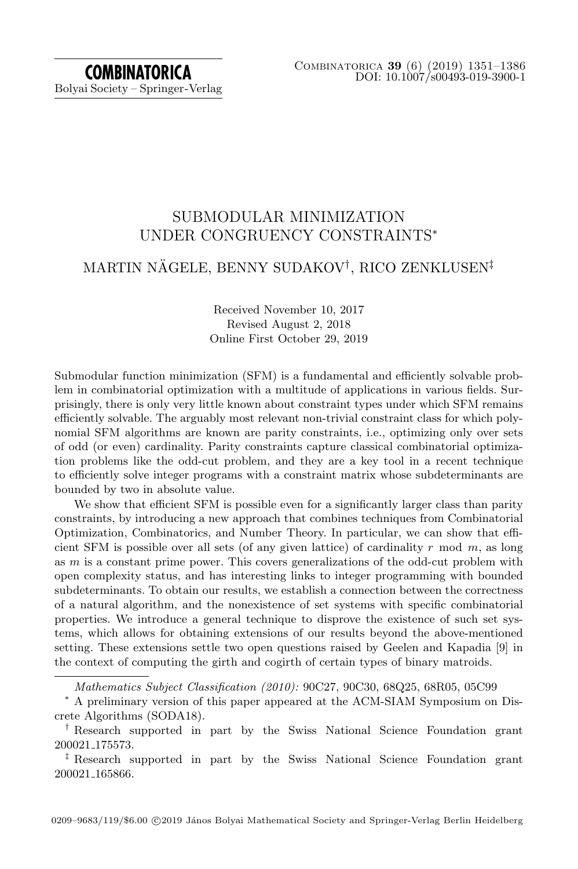# **COMBINATORICA** Bolyai Society – Springer-Verlag

# SUBMODULAR MINIMIZATION UNDER CONGRUENCY CONSTRAINTS<sup>∗</sup>

# MARTIN NÄGELE, BENNY SUDAKOV<sup>†</sup>, RICO ZENKLUSEN<sup>‡</sup>

## Received November 10, 2017 Revised August 2, 2018 Online First October 29, 2019

Submodular function minimization (SFM) is a fundamental and efficiently solvable problem in combinatorial optimization with a multitude of applications in various fields. Surprisingly, there is only very little known about constraint types under which SFM remains efficiently solvable. The arguably most relevant non-trivial constraint class for which polynomial SFM algorithms are known are parity constraints, i.e., optimizing only over sets of odd (or even) cardinality. Parity constraints capture classical combinatorial optimization problems like the odd-cut problem, and they are a key tool in a recent technique to efficiently solve integer programs with a constraint matrix whose subdeterminants are bounded by two in absolute value.

We show that efficient SFM is possible even for a significantly larger class than parity constraints, by introducing a new approach that combines techniques from Combinatorial Optimization, Combinatorics, and Number Theory. In particular, we can show that efficient SFM is possible over all sets (of any given lattice) of cardinality  $r \mod m$ , as long as m is a constant prime power. This covers generalizations of the odd-cut problem with open complexity status, and has interesting links to integer programming with bounded subdeterminants. To obtain our results, we establish a connection between the correctness of a natural algorithm, and the nonexistence of set systems with specific combinatorial properties. We introduce a general technique to disprove the existence of such set systems, which allows for obtaining extensions of our results beyond the above-mentioned setting. These extensions settle two open questions raised by Geelen and Kapadia [\[9\]](#page-34-0) in the context of computing the girth and cogirth of certain types of binary matroids.

Mathematics Subject Classification (2010): 90C27, 90C30, 68Q25, 68R05, 05C99

<sup>∗</sup> A preliminary version of this paper appeared at the ACM-SIAM Symposium on Discrete Algorithms (SODA18).

<sup>†</sup> Research supported in part by the Swiss National Science Foundation grant 200021 175573.

<sup>‡</sup> Research supported in part by the Swiss National Science Foundation grant 200021 165866.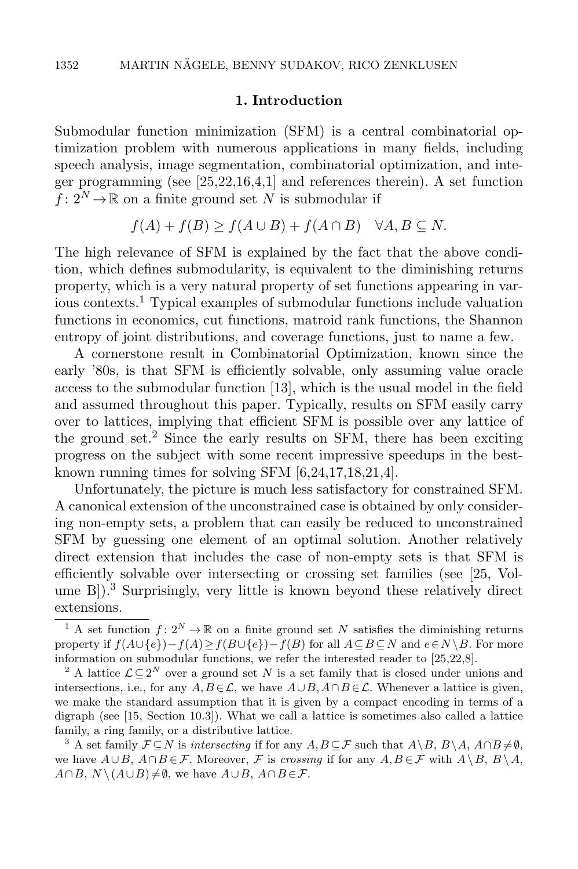#### 1. Introduction

Submodular function minimization (SFM) is a central combinatorial optimization problem with numerous applications in many fields, including speech analysis, image segmentation, combinatorial optimization, and integer programming (see [\[25,](#page-35-0)[22,](#page-35-1)[16,](#page-34-1)[4](#page-34-2)[,1\]](#page-34-3) and references therein). A set function  $f: 2^N \to \mathbb{R}$  on a finite ground set N is submodular if

$$
f(A) + f(B) \ge f(A \cup B) + f(A \cap B) \quad \forall A, B \subseteq N.
$$

The high relevance of SFM is explained by the fact that the above condition, which defines submodularity, is equivalent to the diminishing returns property, which is a very natural property of set functions appearing in various contexts.<sup>1</sup> Typical examples of submodular functions include valuation functions in economics, cut functions, matroid rank functions, the Shannon entropy of joint distributions, and coverage functions, just to name a few.

A cornerstone result in Combinatorial Optimization, known since the early '80s, is that SFM is efficiently solvable, only assuming value oracle access to the submodular function [\[13\]](#page-34-4), which is the usual model in the field and assumed throughout this paper. Typically, results on SFM easily carry over to lattices, implying that efficient SFM is possible over any lattice of the ground set.<sup>2</sup> Since the early results on SFM, there has been exciting progress on the subject with some recent impressive speedups in the bestknown running times for solving SFM [\[6,](#page-34-5)[24,](#page-35-2)[17,](#page-34-6)[18,](#page-34-7)[21,](#page-35-3)[4\]](#page-34-2).

Unfortunately, the picture is much less satisfactory for constrained SFM. A canonical extension of the unconstrained case is obtained by only considering non-empty sets, a problem that can easily be reduced to unconstrained SFM by guessing one element of an optimal solution. Another relatively direct extension that includes the case of non-empty sets is that SFM is efficiently solvable over intersecting or crossing set families (see [\[25,](#page-35-0) Volume B]).<sup>3</sup> Surprisingly, very little is known beyond these relatively direct extensions.

<sup>&</sup>lt;sup>1</sup> A set function  $f: 2^N \to \mathbb{R}$  on a finite ground set N satisfies the diminishing returns property if  $f(A \cup \{e\}) - f(A) \ge f(B \cup \{e\}) - f(B)$  for all  $A \subseteq B \subseteq N$  and  $e \in N \setminus B$ . For more information on submodular functions, we refer the interested reader to [25,22,8].

<sup>&</sup>lt;sup>2</sup> A lattice  $\mathcal{L} \subseteq 2^N$  over a ground set N is a set family that is closed under unions and intersections, i.e., for any  $A, B \in \mathcal{L}$ , we have  $A \cup B, A \cap B \in \mathcal{L}$ . Whenever a lattice is given, we make the standard assumption that it is given by a compact encoding in terms of a digraph (see [15, Section 10.3]). What we call a lattice is sometimes also called a lattice family, a ring family, or a distributive lattice.

<sup>&</sup>lt;sup>3</sup> A set family  $\mathcal{F} \subseteq N$  is *intersecting* if for any  $A, B \subseteq \mathcal{F}$  such that  $A \setminus B, B \setminus A, A \cap B \neq \emptyset$ , we have  $A\cup B$ ,  $A\cap B\in \mathcal{F}$ . Moreover,  $\mathcal F$  is crossing if for any  $A, B\in \mathcal F$  with  $A\setminus B$ ,  $B\setminus A$ ,  $A \cap B$ ,  $N \setminus (A \cup B) \neq \emptyset$ , we have  $A \cup B$ ,  $A \cap B \in \mathcal{F}$ .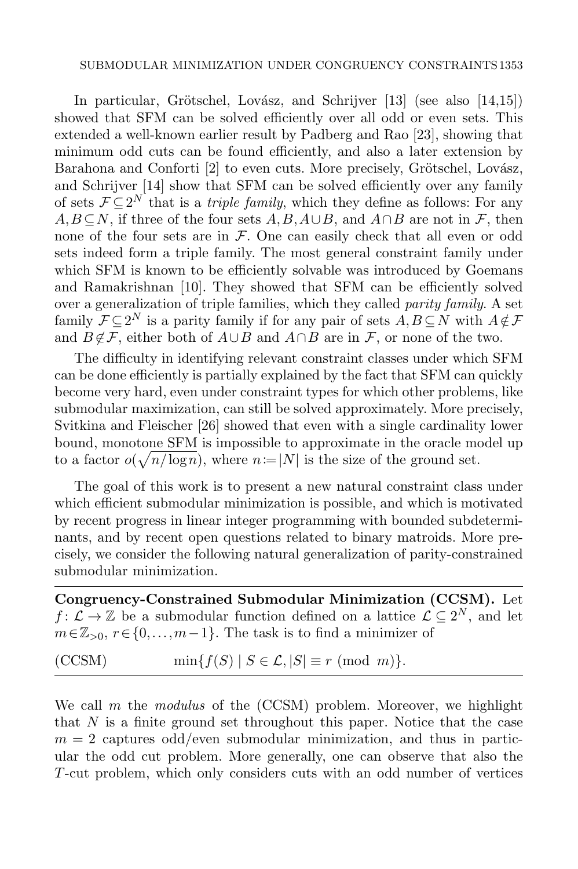#### SUBMODULAR MINIMIZATION UNDER CONGRUENCY CONSTRAINTS 1353

In particular, Grötschel, Lovász, and Schrijver  $[13]$  (see also  $[14,15]$  $[14,15]$ ) showed that SFM can be solved efficiently over all odd or even sets. This extended a well-known earlier result by Padberg and Rao [\[23\]](#page-35-4), showing that minimum odd cuts can be found efficiently, and also a later extension by Barahona and Conforti [\[2\]](#page-34-10) to even cuts. More precisely, Grötschel, Lovász, and Schrijver [\[14\]](#page-34-8) show that SFM can be solved efficiently over any family of sets  $\mathcal{F} \subseteq 2^N$  that is a *triple family*, which they define as follows: For any  $A,B\subseteq N$ , if three of the four sets  $A,B,A\cup B$ , and  $A\cap B$  are not in F, then none of the four sets are in  $F$ . One can easily check that all even or odd sets indeed form a triple family. The most general constraint family under which SFM is known to be efficiently solvable was introduced by Goemans and Ramakrishnan [\[10\]](#page-34-11). They showed that SFM can be efficiently solved over a generalization of triple families, which they called parity family. A set family  $\mathcal{F} \subseteq 2^N$  is a parity family if for any pair of sets  $A, B \subseteq N$  with  $A \notin \mathcal{F}$ and  $B \notin \mathcal{F}$ , either both of  $A \cup B$  and  $A \cap B$  are in  $\mathcal{F}$ , or none of the two.

The difficulty in identifying relevant constraint classes under which SFM can be done efficiently is partially explained by the fact that SFM can quickly become very hard, even under constraint types for which other problems, like submodular maximization, can still be solved approximately. More precisely, Svitkina and Fleischer [\[26\]](#page-35-5) showed that even with a single cardinality lower bound, monotone SFM is impossible to approximate in the oracle model up to a factor  $o(\sqrt{n/\log n})$ , where  $n=|N|$  is the size of the ground set.

The goal of this work is to present a new natural constraint class under which efficient submodular minimization is possible, and which is motivated by recent progress in linear integer programming with bounded subdeterminants, and by recent open questions related to binary matroids. More precisely, we consider the following natural generalization of parity-constrained submodular minimization.

Congruency-Constrained Submodular Minimization (CCSM). Let  $f: \mathcal{L} \to \mathbb{Z}$  be a submodular function defined on a lattice  $\mathcal{L} \subseteq 2^N$ , and let  $m\in\mathbb{Z}_{>0}, r\in\{0,\ldots,m-1\}$ . The task is to find a minimizer of

<span id="page-2-0"></span>
$$
(CCSM) \tmin{f(S) | S \in \mathcal{L}, |S| \equiv r \pmod{m}}.
$$

We call  $m$  the modulus of the  $(CCSM)$  problem. Moreover, we highlight that  $N$  is a finite ground set throughout this paper. Notice that the case  $m = 2$  captures odd/even submodular minimization, and thus in particular the odd cut problem. More generally, one can observe that also the T-cut problem, which only considers cuts with an odd number of vertices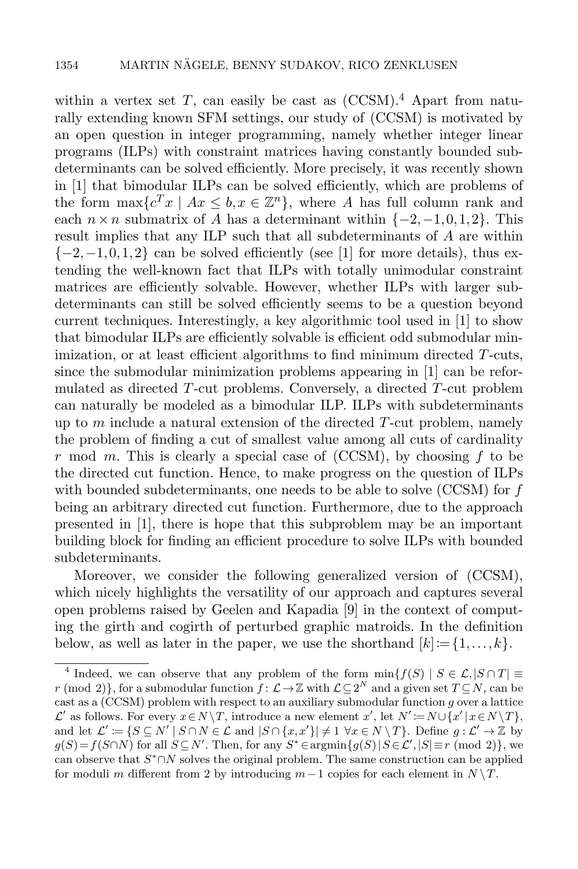within a vertex set  $T$ , can easily be cast as  $(CCSM)^4$  $(CCSM)^4$ . Apart from naturally extending known SFM settings, our study of [\(CCSM\)](#page-2-0) is motivated by an open question in integer programming, namely whether integer linear programs (ILPs) with constraint matrices having constantly bounded subdeterminants can be solved efficiently. More precisely, it was recently shown in [\[1\]](#page-34-3) that bimodular ILPs can be solved efficiently, which are problems of the form  $\max\{c^T x \mid Ax \leq b, x \in \mathbb{Z}^n\}$ , where A has full column rank and each  $n \times n$  submatrix of A has a determinant within  $\{-2, -1, 0, 1, 2\}$ . This result implies that any ILP such that all subdeterminants of A are within  $\{-2,-1,0,1,2\}$  can be solved efficiently (see [\[1\]](#page-34-3) for more details), thus extending the well-known fact that ILPs with totally unimodular constraint matrices are efficiently solvable. However, whether ILPs with larger subdeterminants can still be solved efficiently seems to be a question beyond current techniques. Interestingly, a key algorithmic tool used in [\[1\]](#page-34-3) to show that bimodular ILPs are efficiently solvable is efficient odd submodular minimization, or at least efficient algorithms to find minimum directed T-cuts, since the submodular minimization problems appearing in [\[1\]](#page-34-3) can be reformulated as directed T-cut problems. Conversely, a directed T-cut problem can naturally be modeled as a bimodular ILP. ILPs with subdeterminants up to  $m$  include a natural extension of the directed  $T$ -cut problem, namely the problem of finding a cut of smallest value among all cuts of cardinality r mod m. This is clearly a special case of  $(CCSM)$ , by choosing f to be the directed cut function. Hence, to make progress on the question of ILPs with bounded subdeterminants, one needs to be able to solve  $(CCSM)$  for f being an arbitrary directed cut function. Furthermore, due to the approach presented in [\[1\]](#page-34-3), there is hope that this subproblem may be an important building block for finding an efficient procedure to solve ILPs with bounded subdeterminants.

Moreover, we consider the following generalized version of [\(CCSM\)](#page-2-0), which nicely highlights the versatility of our approach and captures several open problems raised by Geelen and Kapadia [\[9\]](#page-34-0) in the context of computing the girth and cogirth of perturbed graphic matroids. In the definition below, as well as later in the paper, we use the shorthand  $[k] := \{1, \ldots, k\}.$ 

<sup>&</sup>lt;sup>4</sup> Indeed, we can observe that any problem of the form  $\min\{f(S) \mid S \in \mathcal{L}, |S \cap T| \equiv$ r (mod 2)}, for a submodular function  $f: \mathcal{L} \to \mathbb{Z}$  with  $\mathcal{L} \subseteq 2^N$  and a given set  $T \subseteq N$ , can be cast as a (CCSM) problem with respect to an auxiliary submodular function g over a lattice  $\mathcal{L}'$  as follows. For every  $x \in N \setminus T$ , introduce a new element  $x'$ , let  $N' := N \cup \{x' | x \in N \setminus T\}$ , and let  $\mathcal{L}' \coloneqq \{ S \subseteq N' \mid S \cap N \in \mathcal{L} \text{ and } |S \cap \{x, x'\}| \neq 1 \ \forall x \in N \setminus T \}.$  Define  $g: \mathcal{L}' \to \mathbb{Z}$  by  $g(S) = f(S \cap N)$  for all  $S \subseteq N'$ . Then, for any  $S^* \in \operatorname{argmin}{g(S) | S \in \mathcal{L}'}, |S| \equiv r \pmod{2}$ , we can observe that  $S^* \cap N$  solves the original problem. The same construction can be applied for moduli m different from 2 by introducing  $m-1$  copies for each element in  $N \setminus T$ .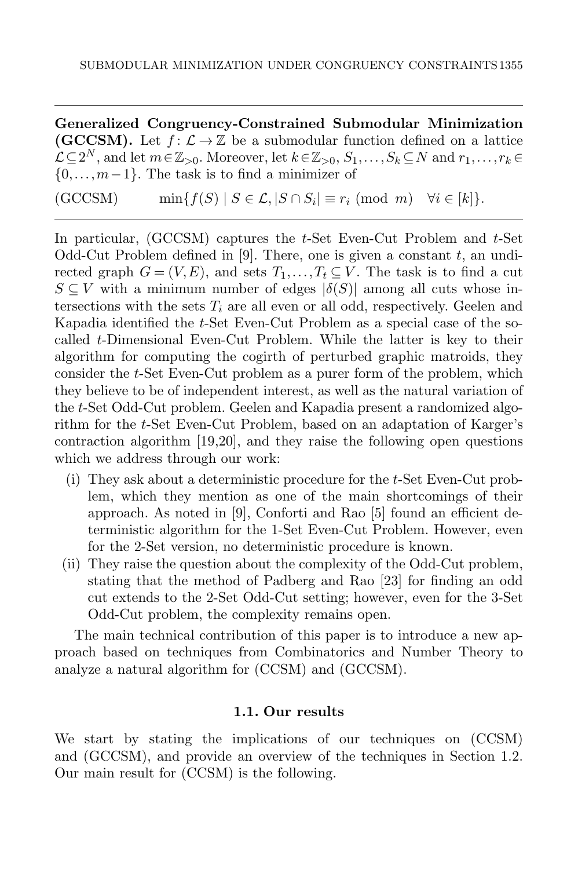Generalized Congruency-Constrained Submodular Minimization (GCCSM). Let  $f: \mathcal{L} \to \mathbb{Z}$  be a submodular function defined on a lattice  $\mathcal{L}\subseteq 2^N$ , and let  $m\in\mathbb{Z}_{>0}$ . Moreover, let  $k\in\mathbb{Z}_{>0}$ ,  $S_1,\ldots,S_k\subseteq N$  and  $r_1,\ldots,r_k\in$  $\{0,\ldots,m-1\}$ . The task is to find a minimizer of

<span id="page-4-0"></span> $(\text{GCCSM})$  min $\{f(S) \mid S \in \mathcal{L}, |S \cap S_i| \equiv r_i \pmod{m} \quad \forall i \in [k]\}.$ 

In particular,  $(GCCSM)$  captures the t-Set Even-Cut Problem and t-Set Odd-Cut Problem defined in [\[9\]](#page-34-0). There, one is given a constant  $t$ , an undirected graph  $G = (V, E)$ , and sets  $T_1, \ldots, T_t \subseteq V$ . The task is to find a cut  $S \subseteq V$  with a minimum number of edges  $|\delta(S)|$  among all cuts whose intersections with the sets  $T_i$  are all even or all odd, respectively. Geelen and Kapadia identified the t-Set Even-Cut Problem as a special case of the socalled t-Dimensional Even-Cut Problem. While the latter is key to their algorithm for computing the cogirth of perturbed graphic matroids, they consider the t-Set Even-Cut problem as a purer form of the problem, which they believe to be of independent interest, as well as the natural variation of the t-Set Odd-Cut problem. Geelen and Kapadia present a randomized algorithm for the t-Set Even-Cut Problem, based on an adaptation of Karger's contraction algorithm [\[19](#page-34-12)[,20\]](#page-34-13), and they raise the following open questions which we address through our work:

- (i) They ask about a deterministic procedure for the t-Set Even-Cut problem, which they mention as one of the main shortcomings of their approach. As noted in [\[9\]](#page-34-0), Conforti and Rao [\[5\]](#page-34-14) found an efficient deterministic algorithm for the 1-Set Even-Cut Problem. However, even for the 2-Set version, no deterministic procedure is known.
- (ii) They raise the question about the complexity of the Odd-Cut problem, stating that the method of Padberg and Rao [\[23\]](#page-35-4) for finding an odd cut extends to the 2-Set Odd-Cut setting; however, even for the 3-Set Odd-Cut problem, the complexity remains open.

The main technical contribution of this paper is to introduce a new approach based on techniques from Combinatorics and Number Theory to analyze a natural algorithm for [\(CCSM\)](#page-2-0) and [\(GCCSM\)](#page-4-0).

## 1.1. Our results

<span id="page-4-1"></span>We start by stating the implications of our techniques on [\(CCSM\)](#page-2-0) and [\(GCCSM\)](#page-4-0), and provide an overview of the techniques in Section [1.2.](#page-5-0) Our main result for [\(CCSM\)](#page-2-0) is the following.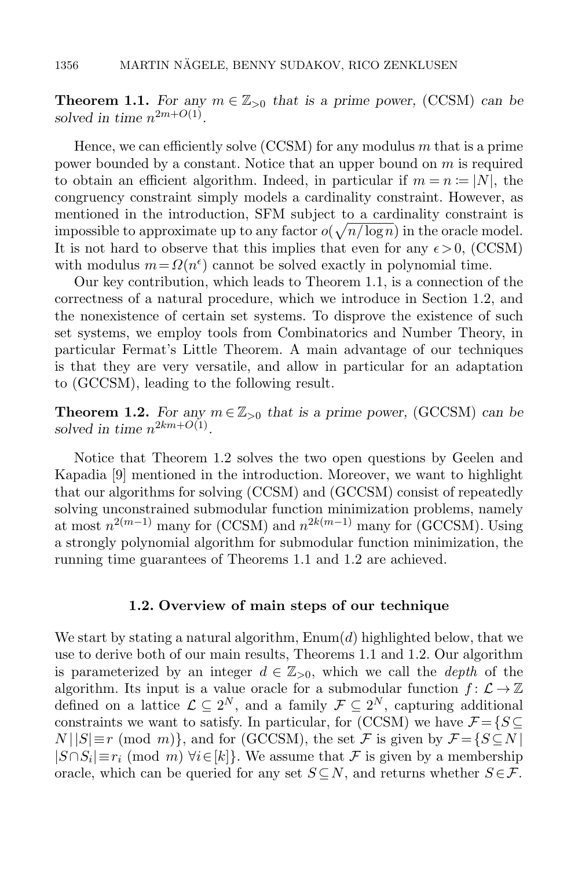**Theorem 1.1.** For any  $m \in \mathbb{Z}_{>0}$  that is a prime power, [\(CCSM\)](#page-2-0) can be solved in time  $n^{2m+O(1)}$ .

Hence, we can efficiently solve  $(CCSM)$  for any modulus m that is a prime power bounded by a constant. Notice that an upper bound on m is required to obtain an efficient algorithm. Indeed, in particular if  $m = n := |N|$ , the congruency constraint simply models a cardinality constraint. However, as mentioned in the introduction, SFM subject to a cardinality constraint is impossible to approximate up to any factor  $o(\sqrt{n/\log n})$  in the oracle model. It is not hard to observe that this implies that even for any  $\epsilon > 0$ , [\(CCSM\)](#page-2-0) with modulus  $m = \Omega(n^{\epsilon})$  cannot be solved exactly in polynomial time.

Our key contribution, which leads to Theorem [1.1,](#page-4-1) is a connection of the correctness of a natural procedure, which we introduce in Section [1.2,](#page-5-0) and the nonexistence of certain set systems. To disprove the existence of such set systems, we employ tools from Combinatorics and Number Theory, in particular Fermat's Little Theorem. A main advantage of our techniques is that they are very versatile, and allow in particular for an adaptation to [\(GCCSM\)](#page-4-0), leading to the following result.

<span id="page-5-1"></span>**Theorem 1.2.** For any  $m \in \mathbb{Z}_{>0}$  that is a prime power, [\(GCCSM\)](#page-4-0) can be solved in time  $n^{2km+O(1)}$ .

Notice that Theorem [1.2](#page-5-1) solves the two open questions by Geelen and Kapadia [\[9\]](#page-34-0) mentioned in the introduction. Moreover, we want to highlight that our algorithms for solving [\(CCSM\)](#page-2-0) and [\(GCCSM\)](#page-4-0) consist of repeatedly solving unconstrained submodular function minimization problems, namely at most  $n^{2(m-1)}$  many for [\(CCSM\)](#page-2-0) and  $n^{2k(m-1)}$  many for [\(GCCSM\)](#page-4-0). Using a strongly polynomial algorithm for submodular function minimization, the running time guarantees of Theorems [1.1](#page-4-1) and [1.2](#page-5-1) are achieved.

#### 1.2. Overview of main steps of our technique

<span id="page-5-0"></span>We start by stating a natural algorithm,  $\text{Enum}(d)$  highlighted below, that we use to derive both of our main results, Theorems [1.1](#page-4-1) and [1.2.](#page-5-1) Our algorithm is parameterized by an integer  $d \in \mathbb{Z}_{>0}$ , which we call the *depth* of the algorithm. Its input is a value oracle for a submodular function  $f: \mathcal{L} \to \mathbb{Z}$ defined on a lattice  $\mathcal{L} \subseteq 2^N$ , and a family  $\mathcal{F} \subseteq 2^N$ , capturing additional constraints we want to satisfy. In particular, for [\(CCSM\)](#page-2-0) we have  $\mathcal{F} = \{S \subseteq \mathcal{S}\}$  $N||S| \equiv r \pmod{m}$ , and for [\(GCCSM\)](#page-4-0), the set F is given by  $\mathcal{F} = \{S \subseteq N \mid S \subseteq N\}$  $|S \cap S_i| \equiv r_i \pmod{m}$   $\forall i \in [k]$ . We assume that  $\mathcal F$  is given by a membership oracle, which can be queried for any set  $S \subseteq N$ , and returns whether  $S \in \mathcal{F}$ .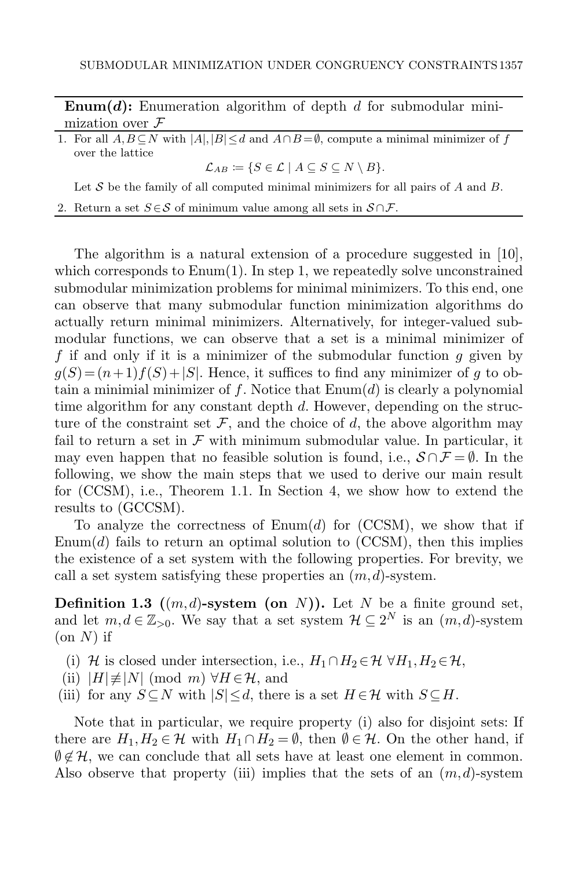<span id="page-6-0"></span>**Enum(d):** Enumeration algorithm of depth d for submodular minimization over  ${\mathcal F}$ 

<span id="page-6-1"></span>1. For all  $A, B \subseteq N$  with  $|A|, |B| \le d$  and  $A \cap B = \emptyset$ , compute a minimal minimizer of f over the lattice

 $\mathcal{L}_{AB} \coloneqq \{ S \in \mathcal{L} \mid A \subseteq S \subseteq N \setminus B \}.$ 

Let  $S$  be the family of all computed minimal minimizers for all pairs of  $A$  and  $B$ .

2. Return a set  $S \in \mathcal{S}$  of minimum value among all sets in  $S \cap \mathcal{F}$ .

The algorithm is a natural extension of a procedure suggested in [\[10\]](#page-34-11), which corresponds to  $E_{\text{num}}(1)$ . In step [1,](#page-6-1) we repeatedly solve unconstrained submodular minimization problems for minimal minimizers. To this end, one can observe that many submodular function minimization algorithms do actually return minimal minimizers. Alternatively, for integer-valued submodular functions, we can observe that a set is a minimal minimizer of f if and only if it is a minimizer of the submodular function  $q$  given by  $g(S) = (n+1)f(S) + |S|$ . Hence, it suffices to find any minimizer of g to obtain a minimial minimizer of f. Notice that  $\text{Enum}(d)$  is clearly a polynomial time algorithm for any constant depth d. However, depending on the structure of the constraint set  $\mathcal F$ , and the choice of d, the above algorithm may fail to return a set in  $\mathcal F$  with minimum submodular value. In particular, it may even happen that no feasible solution is found, i.e.,  $S \cap \mathcal{F} = \emptyset$ . In the following, we show the main steps that we used to derive our main result for [\(CCSM\)](#page-2-0), i.e., Theorem [1.1.](#page-4-1) In Section [4,](#page-21-0) we show how to extend the results to [\(GCCSM\)](#page-4-0).

To analyze the correctness of  $\text{Enum}(d)$  for  $(CCSM)$ , we show that if [Enum\(](#page-6-0)d) fails to return an optimal solution to [\(CCSM\)](#page-2-0), then this implies the existence of a set system with the following properties. For brevity, we call a set system satisfying these properties an  $(m, d)$ -system.

**Definition 1.3**  $((m,d)$ -system (on N)). Let N be a finite ground set, and let  $m, d \in \mathbb{Z}_{>0}$ . We say that a set system  $\mathcal{H} \subseteq 2^N$  is an  $(m, d)$ -system  $($ on  $N)$  if

- <span id="page-6-2"></span>(i) H is closed under intersection, i.e.,  $H_1 \cap H_2 \in \mathcal{H} \ \forall H_1, H_2 \in \mathcal{H}$ ,
- <span id="page-6-4"></span>(ii)  $|H| \neq |N| \pmod{m} \ \forall H \in \mathcal{H}$ , and
- <span id="page-6-3"></span>(iii) for any  $S \subseteq N$  with  $|S| \leq d$ , there is a set  $H \in \mathcal{H}$  with  $S \subseteq H$ .

Note that in particular, we require property [\(i\)](#page-6-2) also for disjoint sets: If there are  $H_1, H_2 \in \mathcal{H}$  with  $H_1 \cap H_2 = \emptyset$ , then  $\emptyset \in \mathcal{H}$ . On the other hand, if  $\emptyset \notin \mathcal{H}$ , we can conclude that all sets have at least one element in common. Also observe that property [\(iii\)](#page-6-3) implies that the sets of an  $(m, d)$ -system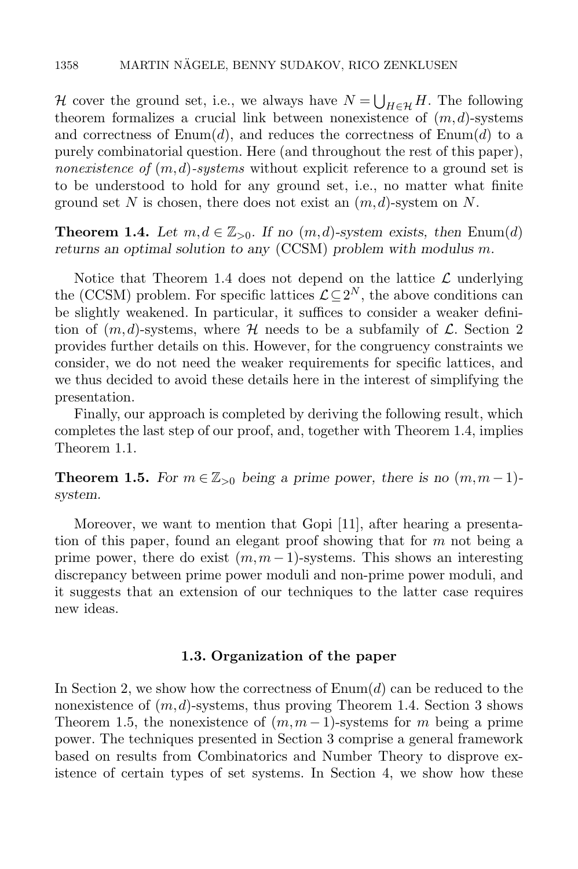H cover the ground set, i.e., we always have  $N = \bigcup_{H \in \mathcal{H}} H$ . The following theorem formalizes a crucial link between nonexistence of  $(m, d)$ -systems and correctness of  $\text{Enum}(d)$ , and reduces the correctness of  $\text{Enum}(d)$  to a purely combinatorial question. Here (and throughout the rest of this paper), nonexistence of  $(m, d)$ -systems without explicit reference to a ground set is to be understood to hold for any ground set, i.e., no matter what finite ground set N is chosen, there does not exist an  $(m, d)$ -system on N.

<span id="page-7-0"></span>**Theorem 1.4.** Let  $m, d \in \mathbb{Z}_{>0}$ . If no  $(m, d)$ -system exists, then [Enum\(](#page-6-0)d) returns an optimal solution to any [\(CCSM\)](#page-2-0) problem with modulus m.

Notice that Theorem [1.4](#page-7-0) does not depend on the lattice  $\mathcal L$  underlying the [\(CCSM\)](#page-2-0) problem. For specific lattices  $\mathcal{L} \subseteq 2^N$ , the above conditions can be slightly weakened. In particular, it suffices to consider a weaker definition of  $(m, d)$ -systems, where H needs to be a subfamily of  $\mathcal{L}$ . Section [2](#page-8-0) provides further details on this. However, for the congruency constraints we consider, we do not need the weaker requirements for specific lattices, and we thus decided to avoid these details here in the interest of simplifying the presentation.

Finally, our approach is completed by deriving the following result, which completes the last step of our proof, and, together with Theorem [1.4,](#page-7-0) implies Theorem [1.1.](#page-4-1)

<span id="page-7-1"></span>**Theorem 1.5.** For  $m \in \mathbb{Z}_{>0}$  being a prime power, there is no  $(m, m-1)$ system.

Moreover, we want to mention that Gopi [\[11\]](#page-34-15), after hearing a presentation of this paper, found an elegant proof showing that for  $m$  not being a prime power, there do exist  $(m, m - 1)$ -systems. This shows an interesting discrepancy between prime power moduli and non-prime power moduli, and it suggests that an extension of our techniques to the latter case requires new ideas.

## 1.3. Organization of the paper

In Section [2,](#page-8-0) we show how the correctness of  $\text{Enum}(d)$  can be reduced to the nonexistence of  $(m, d)$ -systems, thus proving Theorem [1.4.](#page-7-0) Section [3](#page-13-0) shows Theorem [1.5,](#page-7-1) the nonexistence of  $(m, m-1)$ -systems for m being a prime power. The techniques presented in Section [3](#page-13-0) comprise a general framework based on results from Combinatorics and Number Theory to disprove existence of certain types of set systems. In Section [4,](#page-21-0) we show how these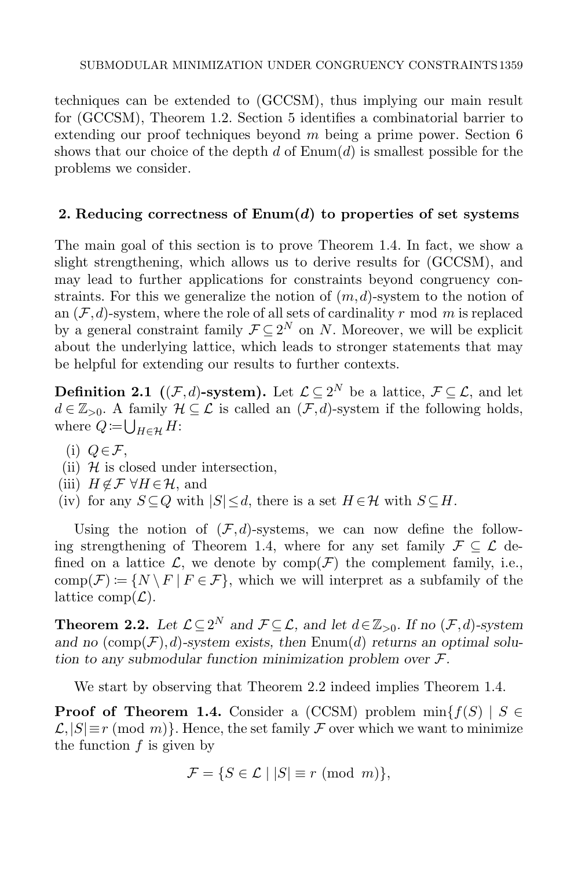techniques can be extended to [\(GCCSM\)](#page-4-0), thus implying our main result for [\(GCCSM\)](#page-4-0), Theorem [1.2.](#page-5-1) Section [5](#page-26-0) identifies a combinatorial barrier to extending our proof techniques beyond  $m$  being a prime power. Section [6](#page-32-0) shows that our choice of the depth  $d$  of  $\text{Enum}(d)$  is smallest possible for the problems we consider.

# <span id="page-8-0"></span>2. Reducing correctness of  $\text{Enum}(d)$  to properties of set systems

The main goal of this section is to prove Theorem [1.4.](#page-7-0) In fact, we show a slight strengthening, which allows us to derive results for [\(GCCSM\)](#page-4-0), and may lead to further applications for constraints beyond congruency constraints. For this we generalize the notion of  $(m, d)$ -system to the notion of an  $(\mathcal{F}, d)$ -system, where the role of all sets of cardinality r mod m is replaced by a general constraint family  $\mathcal{F} \subseteq 2^N$  on N. Moreover, we will be explicit about the underlying lattice, which leads to stronger statements that may be helpful for extending our results to further contexts.

**Definition 2.1** ((F,d)-system). Let  $\mathcal{L} \subseteq 2^N$  be a lattice,  $\mathcal{F} \subseteq \mathcal{L}$ , and let  $d \in \mathbb{Z}_{>0}$ . A family  $\mathcal{H} \subseteq \mathcal{L}$  is called an  $(\mathcal{F}, d)$ -system if the following holds, where  $Q = \bigcup_{H \in \mathcal{H}} H$ :

- <span id="page-8-4"></span>(i)  $Q \in \mathcal{F}$ ,
- <span id="page-8-2"></span>(ii)  $H$  is closed under intersection,
- <span id="page-8-5"></span>(iii)  $H \notin \mathcal{F} \forall H \in \mathcal{H}$ , and
- <span id="page-8-3"></span>(iv) for any  $S \subseteq Q$  with  $|S| \leq d$ , there is a set  $H \in \mathcal{H}$  with  $S \subseteq H$ .

Using the notion of  $(F, d)$ -systems, we can now define the follow-ing strengthening of Theorem [1.4,](#page-7-0) where for any set family  $\mathcal{F} \subseteq \mathcal{L}$  defined on a lattice  $\mathcal{L}$ , we denote by  $\text{comp}(\mathcal{F})$  the complement family, i.e., comp $(\mathcal{F}) \coloneqq \{N \setminus F \mid F \in \mathcal{F}\},\$  which we will interpret as a subfamily of the lattice comp $(\mathcal{L})$ .

<span id="page-8-1"></span>**Theorem 2.2.** Let  $\mathcal{L} \subseteq 2^N$  and  $\mathcal{F} \subseteq \mathcal{L}$ , and let  $d \in \mathbb{Z}_{>0}$ . If no  $(\mathcal{F}, d)$ -system and no  $(\text{comp}(\mathcal{F}), d)$ -system exists, then [Enum\(](#page-6-0)d) returns an optimal solution to any submodular function minimization problem over  $\mathcal{F}$ .

We start by observing that Theorem [2.2](#page-8-1) indeed implies Theorem [1.4.](#page-7-0)

**Proof of Theorem [1.4.](#page-7-0)** Consider a [\(CCSM\)](#page-2-0) problem  $\min\{f(S) \mid S \in$  $\mathcal{L},|S| \equiv r \pmod{m}$ . Hence, the set family F over which we want to minimize the function  $f$  is given by

$$
\mathcal{F} = \{ S \in \mathcal{L} \mid |S| \equiv r \pmod{m} \},
$$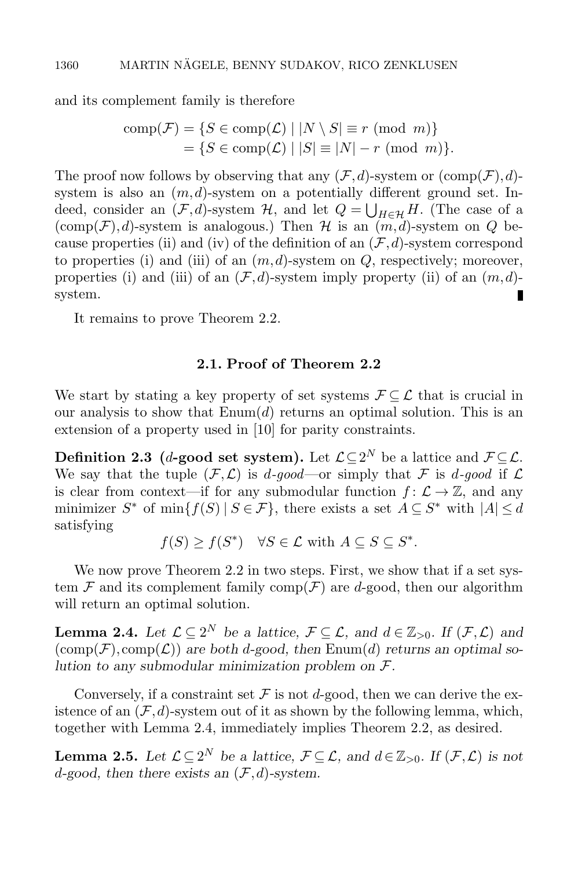and its complement family is therefore

comp
$$
(F)
$$
 = { $S \in comp(\mathcal{L}) | |N \setminus S| \equiv r \pmod{m}$ }  
 = { $S \in comp(\mathcal{L}) | |S| \equiv |N| - r \pmod{m}$  }.

The proof now follows by observing that any  $(\mathcal{F}, d)$ -system or  $(\text{comp}(\mathcal{F}), d)$ system is also an  $(m, d)$ -system on a potentially different ground set. Indeed, consider an  $(\mathcal{F}, d)$ -system  $\mathcal{H}$ , and let  $Q = \bigcup_{H \in \mathcal{H}} H$ . (The case of a  $(\text{comp}(\mathcal{F}), d)$ -system is analogous.) Then H is an  $(m, d)$ -system on Q be-cause properties [\(ii\)](#page-8-2) and [\(iv\)](#page-8-3) of the definition of an  $(\mathcal{F}, d)$ -system correspond to properties [\(i\)](#page-6-2) and [\(iii\)](#page-6-3) of an  $(m, d)$ -system on  $Q$ , respectively; moreover, properties [\(i\)](#page-8-4) and [\(iii\)](#page-8-5) of an  $(\mathcal{F}, d)$ -system imply property [\(ii\)](#page-6-4) of an  $(m, d)$ system.

It remains to prove Theorem [2.2.](#page-8-1)

# 2.1. Proof of Theorem [2.2](#page-8-1)

We start by stating a key property of set systems  $\mathcal{F} \subseteq \mathcal{L}$  that is crucial in our analysis to show that  $\text{Enum}(d)$  returns an optimal solution. This is an extension of a property used in [\[10\]](#page-34-11) for parity constraints.

Definition 2.3 (d-good set system). Let  $\mathcal{L} \subseteq 2^N$  be a lattice and  $\mathcal{F} \subseteq \mathcal{L}$ . We say that the tuple  $(F, \mathcal{L})$  is d-good—or simply that F is d-good if  $\mathcal{L}$ is clear from context—if for any submodular function  $f: \mathcal{L} \to \mathbb{Z}$ , and any minimizer  $S^*$  of  $\min\{f(S) | S \in \mathcal{F}\}$ , there exists a set  $A \subseteq S^*$  with  $|A| \leq d$ satisfying

 $f(S) \ge f(S^*) \quad \forall S \in \mathcal{L} \text{ with } A \subseteq S \subseteq S^*.$ 

We now prove Theorem [2.2](#page-8-1) in two steps. First, we show that if a set system F and its complement family comp(F) are d-good, then our algorithm will return an optimal solution.

<span id="page-9-0"></span>**Lemma 2.4.** Let  $\mathcal{L} \subseteq 2^N$  be a lattice,  $\mathcal{F} \subseteq \mathcal{L}$ , and  $d \in \mathbb{Z}_{>0}$ . If  $(\mathcal{F}, \mathcal{L})$  and  $(\text{comp}(\mathcal{F}), \text{comp}(\mathcal{L}))$  are both d-good, then [Enum\(](#page-6-0)d) returns an optimal solution to any submodular minimization problem on  $\mathcal{F}.$ 

Conversely, if a constraint set  $\mathcal F$  is not d-good, then we can derive the existence of an  $(\mathcal{F}, d)$ -system out of it as shown by the following lemma, which, together with Lemma [2.4,](#page-9-0) immediately implies Theorem [2.2,](#page-8-1) as desired.

<span id="page-9-1"></span>**Lemma 2.5.** Let  $\mathcal{L} \subseteq 2^N$  be a lattice,  $\mathcal{F} \subseteq \mathcal{L}$ , and  $d \in \mathbb{Z}_{>0}$ . If  $(\mathcal{F}, \mathcal{L})$  is not d-good, then there exists an  $(\mathcal{F}, d)$ -system.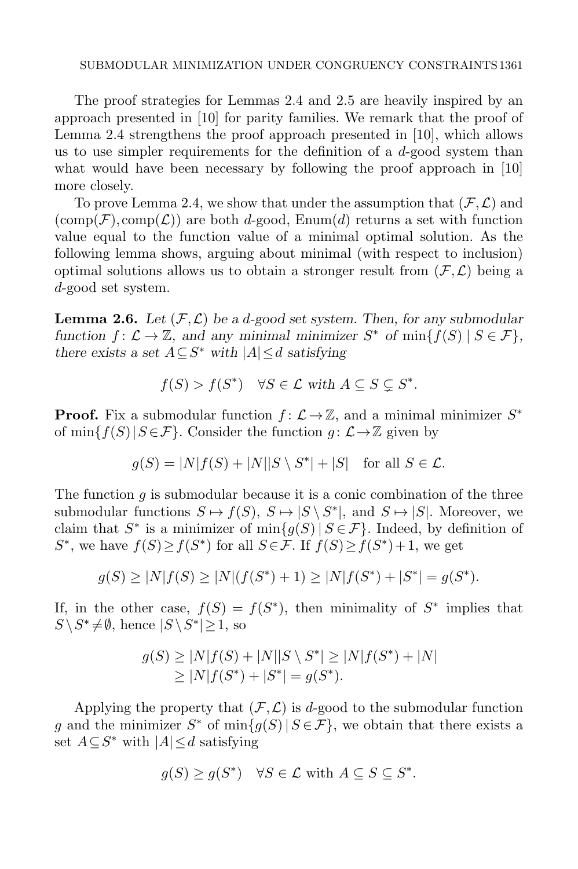The proof strategies for Lemmas [2.4](#page-9-0) and [2.5](#page-9-1) are heavily inspired by an approach presented in [\[10\]](#page-34-11) for parity families. We remark that the proof of Lemma [2.4](#page-9-0) strengthens the proof approach presented in [\[10\]](#page-34-11), which allows us to use simpler requirements for the definition of a  $d$ -good system than what would have been necessary by following the proof approach in [\[10\]](#page-34-11) more closely.

To prove Lemma [2.4,](#page-9-0) we show that under the assumption that  $(\mathcal{F}, \mathcal{L})$  and  $(\text{comp}(\mathcal{F}), \text{comp}(\mathcal{L}))$  are both d-good, [Enum\(](#page-6-0)d) returns a set with function value equal to the function value of a minimal optimal solution. As the following lemma shows, arguing about minimal (with respect to inclusion) optimal solutions allows us to obtain a stronger result from  $(\mathcal{F}, \mathcal{L})$  being a d-good set system.

<span id="page-10-0"></span>**Lemma 2.6.** Let  $(\mathcal{F}, \mathcal{L})$  be a d-good set system. Then, for any submodular function  $f: \mathcal{L} \to \mathbb{Z}$ , and any minimal minimizer  $S^*$  of  $\min\{f(S) \mid S \in \mathcal{F}\},$ there exists a set  $A \subseteq S^*$  with  $|A| \leq d$  satisfying

$$
f(S) > f(S^*) \quad \forall S \in \mathcal{L} \text{ with } A \subseteq S \subsetneq S^*.
$$

**Proof.** Fix a submodular function  $f: \mathcal{L} \to \mathbb{Z}$ , and a minimal minimizer  $S^*$ of min $\{f(S)|S\in\mathcal{F}\}\$ . Consider the function  $q: \mathcal{L}\to\mathbb{Z}$  given by

$$
g(S) = |N|f(S) + |N||S \setminus S^*| + |S| \quad \text{for all } S \in \mathcal{L}.
$$

The function q is submodular because it is a conic combination of the three submodular functions  $S \mapsto f(S), S \mapsto |S \setminus S^*|$ , and  $S \mapsto |S|$ . Moreover, we claim that  $S^*$  is a minimizer of  $\min\{g(S) | S \in \mathcal{F}\}\)$ . Indeed, by definition of S<sup>\*</sup>, we have  $f(S) \ge f(S^*)$  for all  $S \in \mathcal{F}$ . If  $f(S) \ge f(S^*) + 1$ , we get

$$
g(S) \ge |N|f(S) \ge |N|(f(S^*) + 1) \ge |N|f(S^*) + |S^*| = g(S^*).
$$

If, in the other case,  $f(S) = f(S^*)$ , then minimality of  $S^*$  implies that  $S \ S^* \neq \emptyset$ , hence  $|S \ S^*| \geq 1$ , so

$$
g(S) \ge |N|f(S) + |N||S \setminus S^*| \ge |N|f(S^*) + |N|
$$
  
\n
$$
\ge |N|f(S^*) + |S^*| = g(S^*).
$$

Applying the property that  $(F, \mathcal{L})$  is d-good to the submodular function g and the minimizer  $S^*$  of  $\min\{g(S) | S \in \mathcal{F}\}\$ , we obtain that there exists a set  $A \subseteq S^*$  with  $|A| \leq d$  satisfying

$$
g(S) \ge g(S^*) \quad \forall S \in \mathcal{L} \text{ with } A \subseteq S \subseteq S^*.
$$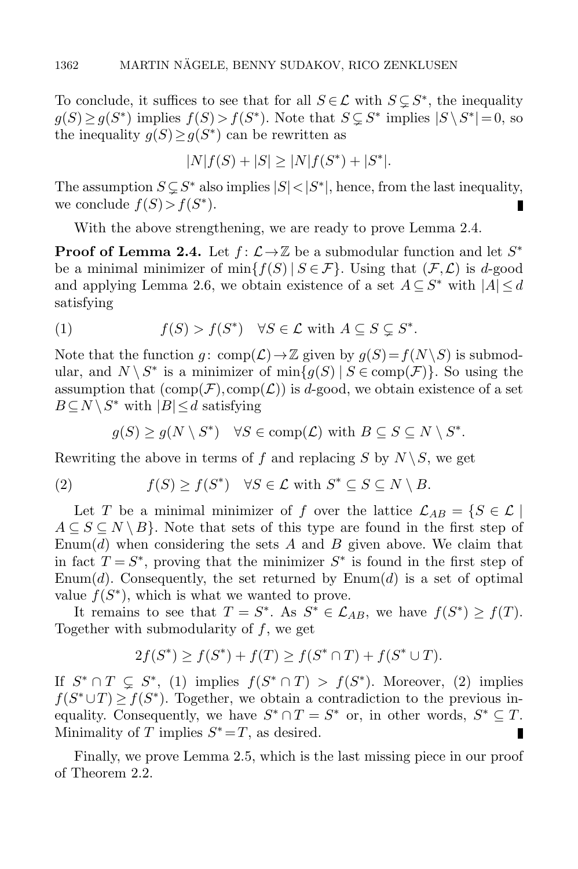To conclude, it suffices to see that for all  $S \in \mathcal{L}$  with  $S \subsetneq S^*$ , the inequality  $g(S) \ge g(S^*)$  implies  $f(S) > f(S^*)$ . Note that  $S \subsetneq S^*$  implies  $|S \setminus S^*| = 0$ , so the inequality  $g(S) \ge g(S^*)$  can be rewritten as

$$
|N|f(S) + |S| \ge |N|f(S^*) + |S^*|.
$$

The assumption  $S \subsetneq S^*$  also implies  $|S| < |S^*|$ , hence, from the last inequality, we conclude  $f(S) > f(S^*)$ .

With the above strengthening, we are ready to prove Lemma [2.4.](#page-9-0)

**Proof of Lemma [2.4.](#page-9-0)** Let  $f: \mathcal{L} \to \mathbb{Z}$  be a submodular function and let  $S^*$ be a minimal minimizer of min $\{f(S) | S \in \mathcal{F}\}\$ . Using that  $(\mathcal{F}, \mathcal{L})$  is d-good and applying Lemma [2.6,](#page-10-0) we obtain existence of a set  $A \subseteq S^*$  with  $|A| \le d$ satisfying

<span id="page-11-0"></span>(1) 
$$
f(S) > f(S^*) \quad \forall S \in \mathcal{L} \text{ with } A \subseteq S \subsetneq S^*.
$$

Note that the function  $q: \text{comp}(\mathcal{L}) \to \mathbb{Z}$  given by  $q(S) = f(N \setminus S)$  is submodular, and  $N \setminus S^*$  is a minimizer of  $\min\{g(S) \mid S \in \text{comp}(\mathcal{F})\}$ . So using the assumption that  $(\text{comp}(\mathcal{F}), \text{comp}(\mathcal{L}))$  is d-good, we obtain existence of a set  $B \subseteq N \setminus S^*$  with  $|B| \leq d$  satisfying

<span id="page-11-1"></span>
$$
g(S) \ge g(N \setminus S^*) \quad \forall S \in \text{comp}(\mathcal{L}) \text{ with } B \subseteq S \subseteq N \setminus S^*.
$$

Rewriting the above in terms of f and replacing S by  $N \setminus S$ , we get

(2) 
$$
f(S) \ge f(S^*) \quad \forall S \in \mathcal{L} \text{ with } S^* \subseteq S \subseteq N \setminus B.
$$

Let T be a minimal minimizer of f over the lattice  $\mathcal{L}_{AB} = \{S \in \mathcal{L} \mid$  $A \subseteq S \subseteq N \setminus B$ . Note that sets of this type are found in the first step of [Enum\(](#page-6-0)d) when considering the sets A and B given above. We claim that in fact  $T = S^*$ , proving that the minimizer  $S^*$  is found in the first step of [Enum\(](#page-6-0)d). Consequently, the set returned by  $\text{Enum}(d)$  is a set of optimal value  $f(S^*)$ , which is what we wanted to prove.

It remains to see that  $T = S^*$ . As  $S^* \in \mathcal{L}_{AB}$ , we have  $f(S^*) \ge f(T)$ . Together with submodularity of f, we get

$$
2f(S^*) \ge f(S^*) + f(T) \ge f(S^* \cap T) + f(S^* \cup T).
$$

If  $S^* \cap T \subsetneq S^*$ , [\(1\)](#page-11-0) implies  $f(S^* \cap T) > f(S^*)$ . Moreover, [\(2\)](#page-11-1) implies  $f(S^* \cup T) \geq f(S^*)$ . Together, we obtain a contradiction to the previous inequality. Consequently, we have  $S^* \cap T = S^*$  or, in other words,  $S^* \subseteq T$ . Minimality of T implies  $S^* = T$ , as desired.

Finally, we prove Lemma [2.5,](#page-9-1) which is the last missing piece in our proof of Theorem [2.2.](#page-8-1)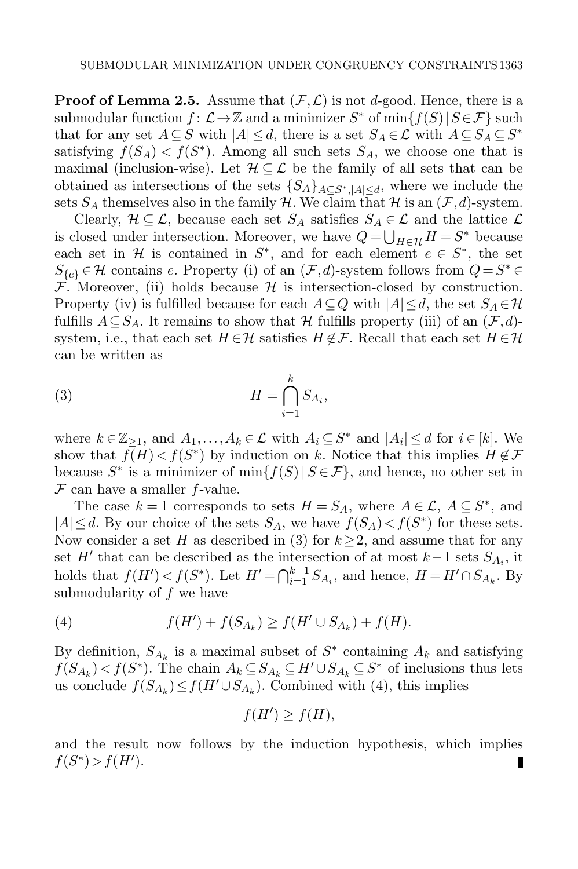**Proof of Lemma [2.5.](#page-9-1)** Assume that  $(\mathcal{F}, \mathcal{L})$  is not d-good. Hence, there is a submodular function  $f: \mathcal{L} \to \mathbb{Z}$  and a minimizer  $S^*$  of  $\min\{f(S) | S \in \mathcal{F}\}$  such that for any set  $A \subseteq S$  with  $|A| \leq d$ , there is a set  $S_A \in \mathcal{L}$  with  $A \subseteq S_A \subseteq S^*$ satisfying  $f(S_A) < f(S^*)$ . Among all such sets  $S_A$ , we choose one that is maximal (inclusion-wise). Let  $\mathcal{H} \subseteq \mathcal{L}$  be the family of all sets that can be obtained as intersections of the sets  ${S_A}_{A \subseteq S^*, |A| \le d}$ , where we include the sets  $S_A$  themselves also in the family H. We claim that H is an  $(\mathcal{F}, d)$ -system.

Clearly,  $\mathcal{H} \subseteq \mathcal{L}$ , because each set  $S_A$  satisfies  $S_A \in \mathcal{L}$  and the lattice  $\mathcal{L}$ is closed under intersection. Moreover, we have  $Q = \bigcup_{H \in \mathcal{H}} H = S^*$  because each set in  $\mathcal H$  is contained in  $S^*$ , and for each element  $e \in S^*$ , the set  $S_{\{e\}} \in \mathcal{H}$  contains e. Property [\(i\)](#page-8-4) of an  $(\mathcal{F}, d)$ -system follows from  $Q = S^* \in$  $\overrightarrow{\mathcal{F}}$ . Moreover, [\(ii\)](#page-8-2) holds because  $\mathcal{H}$  is intersection-closed by construction. Property [\(iv\)](#page-8-3) is fulfilled because for each  $A\subseteq Q$  with  $|A|\leq d$ , the set  $S_A\in\mathcal{H}$ fulfills  $A \subseteq S_A$ . It remains to show that H fulfills property [\(iii\)](#page-8-5) of an  $(\mathcal{F}, d)$ system, i.e., that each set  $H \in \mathcal{H}$  satisfies  $H \notin \mathcal{F}$ . Recall that each set  $H \in \mathcal{H}$ can be written as

<span id="page-12-0"></span>(3) 
$$
H = \bigcap_{i=1}^{k} S_{A_i},
$$

where  $k \in \mathbb{Z}_{\geq 1}$ , and  $A_1, \ldots, A_k \in \mathcal{L}$  with  $A_i \subseteq S^*$  and  $|A_i| \leq d$  for  $i \in [k]$ . We show that  $f(H) < f(S^*)$  by induction on k. Notice that this implies  $H \notin \mathcal{F}$ because  $S^*$  is a minimizer of  $\min\{f(S) | S \in \mathcal{F}\}$ , and hence, no other set in  $F$  can have a smaller f-value.

The case  $k = 1$  corresponds to sets  $H = S_A$ , where  $A \in \mathcal{L}$ ,  $A \subseteq S^*$ , and  $|A| \le d$ . By our choice of the sets  $S_A$ , we have  $f(S_A) < f(S^*)$  for these sets. Now consider a set H as described in [\(3\)](#page-12-0) for  $k \geq 2$ , and assume that for any set  $H'$  that can be described as the intersection of at most  $k-1$  sets  $S_{A_i}$ , it holds that  $f(H') < f(S^*)$ . Let  $H' = \bigcap_{i=1}^{k-1} S_{A_i}$ , and hence,  $H = H' \cap S_{A_k}$ . By submodularity of f we have

<span id="page-12-1"></span>(4) 
$$
f(H') + f(S_{A_k}) \ge f(H' \cup S_{A_k}) + f(H).
$$

By definition,  $S_{A_k}$  is a maximal subset of  $S^*$  containing  $A_k$  and satisfying  $f(S_{A_k}) < f(S^*)$ . The chain  $A_k \subseteq S_{A_k} \subseteq H' \cup S_{A_k} \subseteq S^*$  of inclusions thus lets us conclude  $f(S_{A_k}) \leq f(H' \cup S_{A_k})$ . Combined with [\(4\)](#page-12-1), this implies

$$
f(H') \ge f(H),
$$

and the result now follows by the induction hypothesis, which implies  $f(S^*) > f(H')$ . П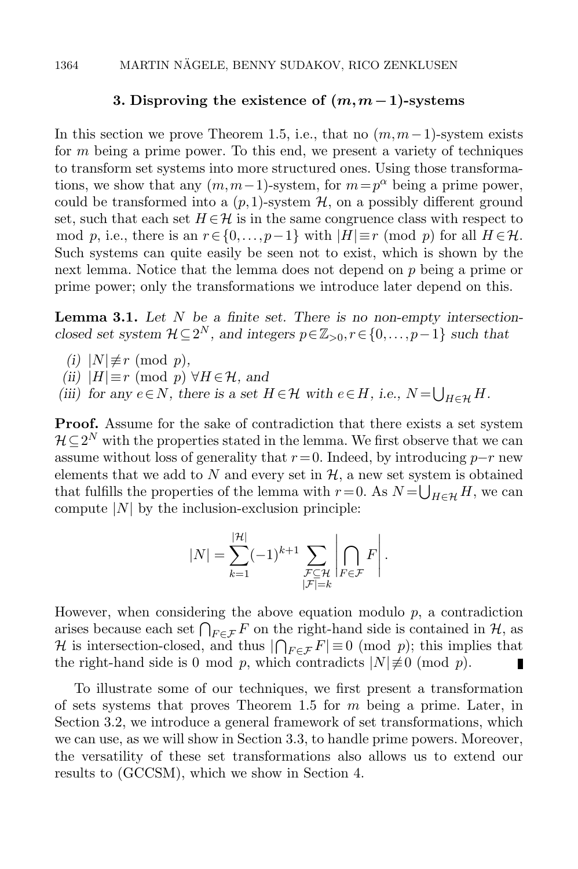### 3. Disproving the existence of  $(m,m-1)$ -systems

<span id="page-13-0"></span>In this section we prove Theorem [1.5,](#page-7-1) i.e., that no  $(m, m-1)$ -system exists for m being a prime power. To this end, we present a variety of techniques to transform set systems into more structured ones. Using those transformations, we show that any  $(m, m-1)$ -system, for  $m = p^{\alpha}$  being a prime power, could be transformed into a  $(p,1)$ -system  $\mathcal{H}$ , on a possibly different ground set, such that each set  $H \in \mathcal{H}$  is in the same congruence class with respect to mod p, i.e., there is an  $r \in \{0, \ldots, p-1\}$  with  $|H| \equiv r \pmod{p}$  for all  $H \in \mathcal{H}$ . Such systems can quite easily be seen not to exist, which is shown by the next lemma. Notice that the lemma does not depend on p being a prime or prime power; only the transformations we introduce later depend on this.

<span id="page-13-1"></span>**Lemma 3.1.** Let  $N$  be a finite set. There is no non-empty intersectionclosed set system  $\mathcal{H} \subseteq 2^N$ , and integers  $p \in \mathbb{Z}_{>0}, r \in \{0, \ldots, p-1\}$  such that

- <span id="page-13-2"></span>(i)  $|N| \not\equiv r \pmod{p}$ ,
- <span id="page-13-3"></span>(ii)  $|H| \equiv r \pmod{p} \ \forall H \in \mathcal{H}$ , and
- <span id="page-13-4"></span>(iii) for any  $e \in N$ , there is a set  $H \in \mathcal{H}$  with  $e \in H$ , i.e.,  $N = \bigcup_{H \in \mathcal{H}} H$ .

Proof. Assume for the sake of contradiction that there exists a set system  $\mathcal{H} \subseteq 2^N$  with the properties stated in the lemma. We first observe that we can assume without loss of generality that  $r = 0$ . Indeed, by introducing  $p-r$  new elements that we add to  $N$  and every set in  $H$ , a new set system is obtained that fulfills the properties of the lemma with  $r = 0$ . As  $N = \bigcup_{H \in \mathcal{H}} H$ , we can compute  $|N|$  by the inclusion-exclusion principle:

$$
|N| = \sum_{k=1}^{|\mathcal{H}|} (-1)^{k+1} \sum_{\substack{\mathcal{F} \subseteq \mathcal{H} \\ |\mathcal{F}| = k}} \left| \bigcap_{F \in \mathcal{F}} F \right|.
$$

However, when considering the above equation modulo  $p$ , a contradiction arises because each set  $\bigcap_{F\in\mathcal{F}} F$  on the right-hand side is contained in  $\mathcal{H}$ , as H is intersection-closed, and thus  $|\bigcap_{F \in \mathcal{F}} F| \equiv 0 \pmod{p}$ ; this implies that the right-hand side is 0 mod p, which contradicts  $|N| \neq 0$  (mod p). П

To illustrate some of our techniques, we first present a transformation of sets systems that proves Theorem [1.5](#page-7-1) for  $m$  being a prime. Later, in Section [3.2,](#page-15-0) we introduce a general framework of set transformations, which we can use, as we will show in Section [3.3,](#page-19-0) to handle prime powers. Moreover, the versatility of these set transformations also allows us to extend our results to [\(GCCSM\)](#page-4-0), which we show in Section [4.](#page-21-0)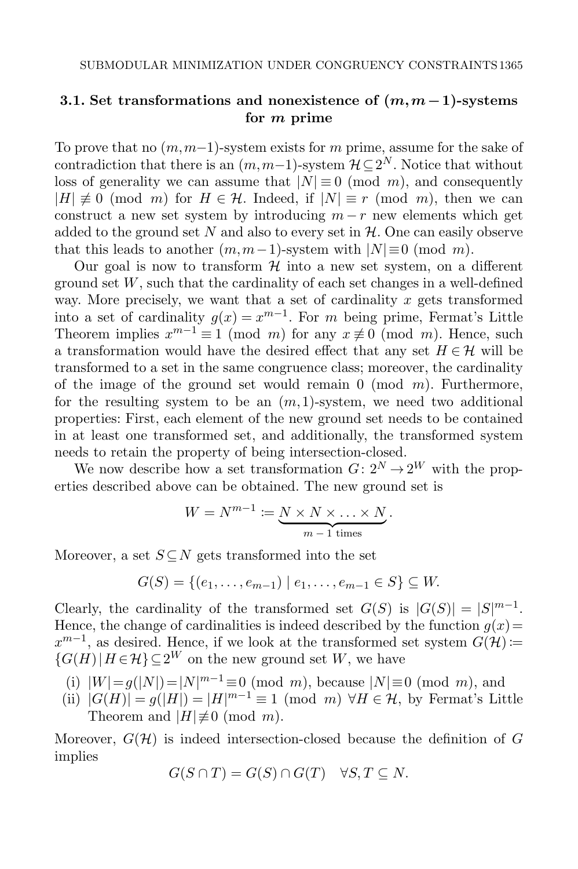# <span id="page-14-0"></span>3.1. Set transformations and nonexistence of  $(m, m-1)$ -systems for m prime

To prove that no  $(m, m-1)$ -system exists for m prime, assume for the sake of contradiction that there is an  $(m, m-1)$ -system  $\mathcal{H} \subseteq 2^N$ . Notice that without loss of generality we can assume that  $|N| \equiv 0 \pmod{m}$ , and consequently  $|H| \not\equiv 0 \pmod{m}$  for  $H \in \mathcal{H}$ . Indeed, if  $|N| \equiv r \pmod{m}$ , then we can construct a new set system by introducing  $m - r$  new elements which get added to the ground set  $N$  and also to every set in  $H$ . One can easily observe that this leads to another  $(m, m-1)$ -system with  $|N| \equiv 0 \pmod{m}$ .

Our goal is now to transform  $\mathcal H$  into a new set system, on a different ground set  $W$ , such that the cardinality of each set changes in a well-defined way. More precisely, we want that a set of cardinality  $x$  gets transformed into a set of cardinality  $g(x) = x^{m-1}$ . For m being prime, Fermat's Little Theorem implies  $x^{m-1} \equiv 1 \pmod{m}$  for any  $x \not\equiv 0 \pmod{m}$ . Hence, such a transformation would have the desired effect that any set  $H \in \mathcal{H}$  will be transformed to a set in the same congruence class; moreover, the cardinality of the image of the ground set would remain  $0 \pmod{m}$ . Furthermore, for the resulting system to be an  $(m, 1)$ -system, we need two additional properties: First, each element of the new ground set needs to be contained in at least one transformed set, and additionally, the transformed system needs to retain the property of being intersection-closed.

We now describe how a set transformation  $G: 2^N \to 2^W$  with the properties described above can be obtained. The new ground set is

$$
W = N^{m-1} := \underbrace{N \times N \times \ldots \times N}_{m-1 \text{ times}}.
$$

Moreover, a set  $S \subseteq N$  gets transformed into the set

$$
G(S) = \{(e_1, \ldots, e_{m-1}) \mid e_1, \ldots, e_{m-1} \in S\} \subseteq W.
$$

Clearly, the cardinality of the transformed set  $G(S)$  is  $|G(S)| = |S|^{m-1}$ . Hence, the change of cardinalities is indeed described by the function  $q(x)$ =  $x^{m-1}$ , as desired. Hence, if we look at the transformed set system  $G(\mathcal{H})$  :=  $\{G(H) | H \in \mathcal{H}\}\subset 2^W$  on the new ground set W, we have

- (i)  $|W| = g(|N|) = |N|^{m-1} \equiv 0 \pmod{m}$ , because  $|N| \equiv 0 \pmod{m}$ , and
- (ii)  $|G(H)| = g(|H|) = |H|^{m-1} \equiv 1 \pmod{m} \ \forall H \in \mathcal{H}$ , by Fermat's Little Theorem and  $|H|\not\equiv 0 \pmod{m}$ .

Moreover,  $G(\mathcal{H})$  is indeed intersection-closed because the definition of G implies

$$
G(S \cap T) = G(S) \cap G(T) \quad \forall S, T \subseteq N.
$$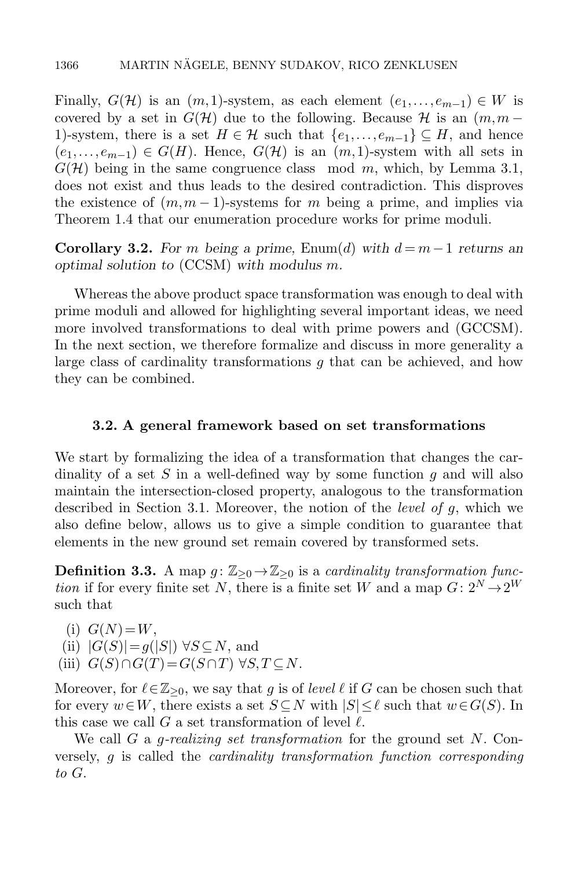Finally,  $G(\mathcal{H})$  is an  $(m,1)$ -system, as each element  $(e_1,\ldots,e_{m-1})\in W$  is covered by a set in  $G(\mathcal{H})$  due to the following. Because H is an  $(m,m-$ 1)-system, there is a set  $H \in \mathcal{H}$  such that  $\{e_1,\ldots,e_{m-1}\} \subseteq H$ , and hence  $(e_1,\ldots,e_{m-1})\in G(H)$ . Hence,  $G(\mathcal{H})$  is an  $(m,1)$ -system with all sets in  $G(\mathcal{H})$  being in the same congruence class mod m, which, by Lemma [3.1,](#page-13-1) does not exist and thus leads to the desired contradiction. This disproves the existence of  $(m, m-1)$ -systems for m being a prime, and implies via Theorem [1.4](#page-7-0) that our enumeration procedure works for prime moduli.

**Corollary 3.2.** For m being a prime, [Enum\(](#page-6-0)d) with  $d = m-1$  returns an optimal solution to [\(CCSM\)](#page-2-0) with modulus m.

Whereas the above product space transformation was enough to deal with prime moduli and allowed for highlighting several important ideas, we need more involved transformations to deal with prime powers and [\(GCCSM\)](#page-4-0). In the next section, we therefore formalize and discuss in more generality a large class of cardinality transformations g that can be achieved, and how they can be combined.

## 3.2. A general framework based on set transformations

<span id="page-15-0"></span>We start by formalizing the idea of a transformation that changes the cardinality of a set  $S$  in a well-defined way by some function  $g$  and will also maintain the intersection-closed property, analogous to the transformation described in Section [3.1.](#page-14-0) Moreover, the notion of the *level of g*, which we also define below, allows us to give a simple condition to guarantee that elements in the new ground set remain covered by transformed sets.

<span id="page-15-2"></span>**Definition 3.3.** A map  $g: \mathbb{Z}_{\geq 0} \to \mathbb{Z}_{\geq 0}$  is a cardinality transformation function if for every finite set N, there is a finite set W and a map  $G: 2^N \rightarrow 2^W$ such that

(i)  $G(N)=W$ .

- (ii)  $|G(S)| = g(|S|) \forall S \subseteq N$ , and
- <span id="page-15-1"></span>(iii)  $G(S) \cap G(T) = G(S \cap T) \forall S, T \subseteq N$ .

Moreover, for  $\ell \in \mathbb{Z}_{\geq 0}$ , we say that g is of level  $\ell$  if G can be chosen such that for every  $w\in W$ , there exists a set  $S\subseteq N$  with  $|S|\leq \ell$  such that  $w\in G(S)$ . In this case we call G a set transformation of level  $\ell$ .

We call G a *g-realizing set transformation* for the ground set  $N$ . Conversely, g is called the cardinality transformation function corresponding to G.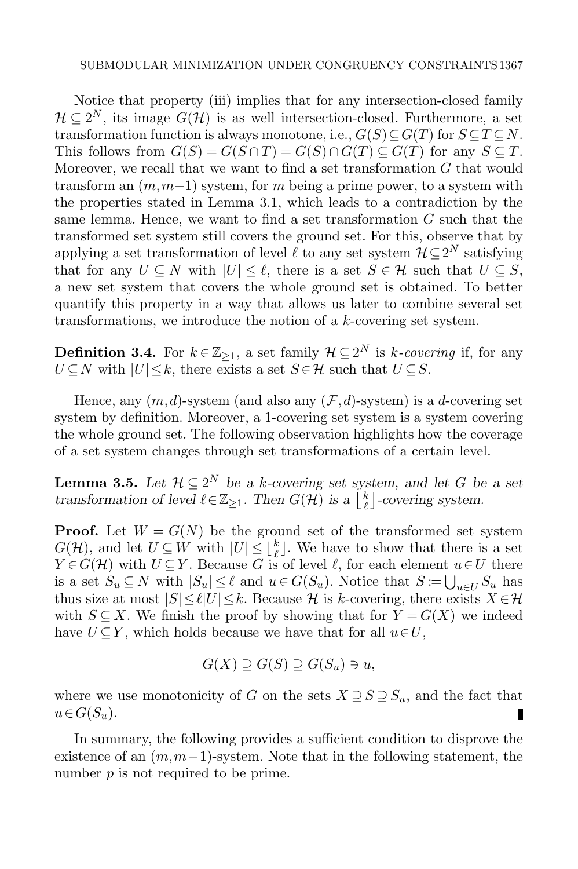Notice that property [\(iii\)](#page-15-1) implies that for any intersection-closed family  $\mathcal{H} \subseteq 2^N$ , its image  $G(\mathcal{H})$  is as well intersection-closed. Furthermore, a set transformation function is always monotone, i.e.,  $G(S) \subseteq G(T)$  for  $S \subseteq T \subseteq N$ . This follows from  $G(S) = G(S \cap T) = G(S) \cap G(T) \subseteq G(T)$  for any  $S \subseteq T$ . Moreover, we recall that we want to find a set transformation G that would transform an  $(m,m-1)$  system, for m being a prime power, to a system with the properties stated in Lemma [3.1,](#page-13-1) which leads to a contradiction by the same lemma. Hence, we want to find a set transformation  $G$  such that the transformed set system still covers the ground set. For this, observe that by applying a set transformation of level  $\ell$  to any set system  $\mathcal{H}\subseteq 2^N$  satisfying that for any  $U \subseteq N$  with  $|U| \leq \ell$ , there is a set  $S \in \mathcal{H}$  such that  $U \subseteq S$ , a new set system that covers the whole ground set is obtained. To better quantify this property in a way that allows us later to combine several set transformations, we introduce the notion of a k-covering set system.

**Definition 3.4.** For  $k \in \mathbb{Z}_{\geq 1}$ , a set family  $\mathcal{H} \subseteq 2^N$  is k-covering if, for any  $U \subseteq N$  with  $|U| \leq k$ , there exists a set  $S \in \mathcal{H}$  such that  $U \subseteq S$ .

Hence, any  $(m, d)$ -system (and also any  $(\mathcal{F}, d)$ -system) is a d-covering set system by definition. Moreover, a 1-covering set system is a system covering the whole ground set. The following observation highlights how the coverage of a set system changes through set transformations of a certain level.

<span id="page-16-0"></span>**Lemma 3.5.** Let  $\mathcal{H} \subseteq 2^N$  be a k-covering set system, and let G be a set transformation of level  $\ell \in \mathbb{Z}_{\geq 1}$ . Then  $G(\mathcal{H})$  is a  $\lfloor \frac{k}{\ell} \rfloor$  $\frac{k}{\ell}$  -covering system.

**Proof.** Let  $W = G(N)$  be the ground set of the transformed set system  $G(\mathcal{H})$ , and let  $U \subseteq W$  with  $|U| \leq \lfloor \frac{k}{\ell} \rfloor$ . We have to show that there is a set  $Y \in G(\mathcal{H})$  with  $U \subseteq Y$ . Because G is of level  $\ell$ , for each element  $u \in U$  there is a set  $S_u \subseteq N$  with  $|S_u| \leq \ell$  and  $u \in G(S_u)$ . Notice that  $S \coloneqq \bigcup_{u \in U} S_u$  has thus size at most  $|S|\leq \ell|U|\leq k$ . Because H is k-covering, there exists  $X \in \mathcal{H}$ with  $S \subseteq X$ . We finish the proof by showing that for  $Y = G(X)$  we indeed have  $U \subseteq Y$ , which holds because we have that for all  $u \in U$ ,

$$
G(X) \supseteq G(S) \supseteq G(S_u) \ni u,
$$

where we use monotonicity of G on the sets  $X \supseteq S \supseteq S_u$ , and the fact that  $u \in G(S_u)$ . п

<span id="page-16-1"></span>In summary, the following provides a sufficient condition to disprove the existence of an  $(m, m-1)$ -system. Note that in the following statement, the number  $p$  is not required to be prime.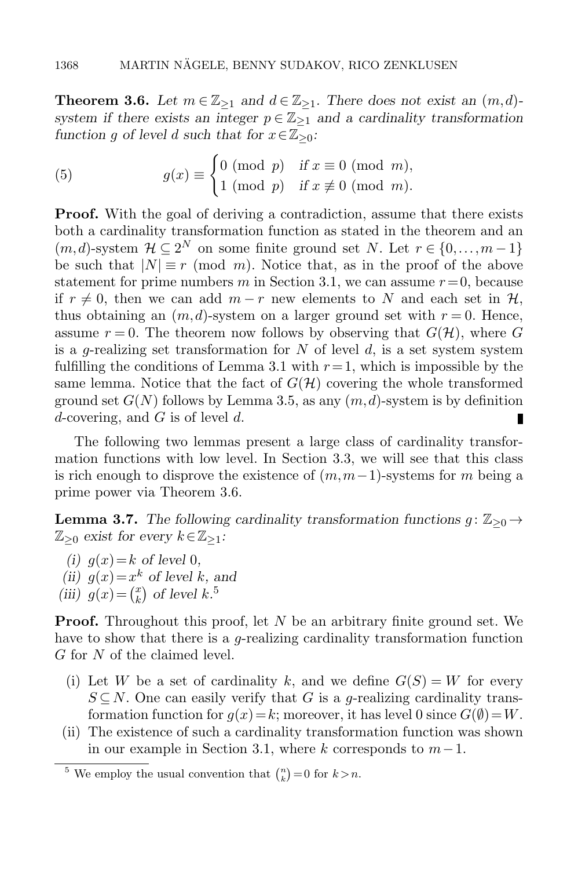**Theorem 3.6.** Let  $m \in \mathbb{Z}_{\geq 1}$  and  $d \in \mathbb{Z}_{\geq 1}$ . There does not exist an  $(m, d)$ system if there exists an integer  $p \in \mathbb{Z}_{\geq 1}$  and a cardinality transformation function g of level d such that for  $x \in \mathbb{Z}_{\geq 0}$ :

<span id="page-17-1"></span>(5) 
$$
g(x) \equiv \begin{cases} 0 \pmod{p} & \text{if } x \equiv 0 \pmod{m}, \\ 1 \pmod{p} & \text{if } x \not\equiv 0 \pmod{m}. \end{cases}
$$

**Proof.** With the goal of deriving a contradiction, assume that there exists both a cardinality transformation function as stated in the theorem and an  $(m, d)$ -system  $\mathcal{H} \subseteq 2^N$  on some finite ground set N. Let  $r \in \{0, ..., m-1\}$ be such that  $|N| \equiv r \pmod{m}$ . Notice that, as in the proof of the above statement for prime numbers m in Section [3.1,](#page-14-0) we can assume  $r=0$ , because if  $r \neq 0$ , then we can add  $m-r$  new elements to N and each set in  $\mathcal{H}$ , thus obtaining an  $(m, d)$ -system on a larger ground set with  $r = 0$ . Hence, assume  $r = 0$ . The theorem now follows by observing that  $G(\mathcal{H})$ , where G is a g-realizing set transformation for N of level d, is a set system system fulfilling the conditions of Lemma [3.1](#page-13-1) with  $r=1$ , which is impossible by the same lemma. Notice that the fact of  $G(\mathcal{H})$  covering the whole transformed ground set  $G(N)$  follows by Lemma [3.5,](#page-16-0) as any  $(m, d)$ -system is by definition d-covering, and  $G$  is of level  $d$ . П

The following two lemmas present a large class of cardinality transformation functions with low level. In Section [3.3,](#page-19-0) we will see that this class is rich enough to disprove the existence of  $(m,m-1)$ -systems for m being a prime power via Theorem [3.6.](#page-16-1)

<span id="page-17-0"></span>**Lemma 3.7.** The following cardinality transformation functions  $g: \mathbb{Z}_{\geq 0} \rightarrow$  $\mathbb{Z}_{\geq 0}$  exist for every  $k \in \mathbb{Z}_{\geq 1}$ :

- (i)  $q(x)=k$  of level 0, (ii)  $g(x)=x^k$  of level k, and
- (iii)  $g(x) = \binom{x}{k}$  $\binom{x}{k}$  of level  $k$ .<sup>5</sup>

**Proof.** Throughout this proof, let  $N$  be an arbitrary finite ground set. We have to show that there is a *g*-realizing cardinality transformation function G for N of the claimed level.

- (i) Let W be a set of cardinality k, and we define  $G(S) = W$  for every  $S \subseteq N$ . One can easily verify that G is a g-realizing cardinality transformation function for  $g(x)=k$ ; moreover, it has level 0 since  $G(\emptyset)=W$ .
- (ii) The existence of such a cardinality transformation function was shown in our example in Section [3.1,](#page-14-0) where k corresponds to  $m-1$ .

<sup>&</sup>lt;sup>5</sup> We employ the usual convention that  $\binom{n}{k} = 0$  for  $k > n$ .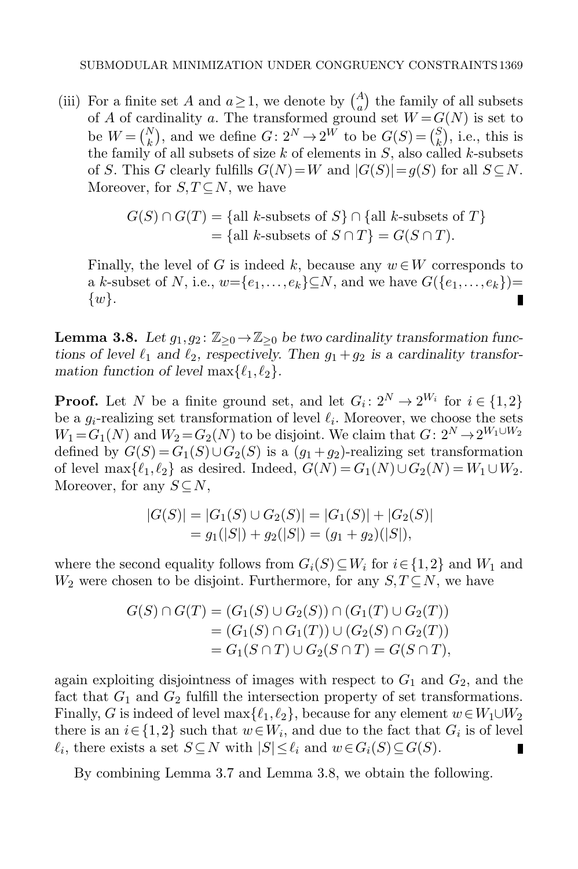(iii) For a finite set A and  $a \ge 1$ , we denote by  $\binom{A}{a}$  the family of all subsets of A of cardinality a. The transformed ground set  $W = G(N)$  is set to be  $W = \begin{pmatrix} N \\ k \end{pmatrix}$ , and we define  $G: 2^N \rightarrow 2^W$  to be  $G(S) = \begin{pmatrix} S \\ k \end{pmatrix}$  $\binom{S}{k}$ , i.e., this is the family of all subsets of size k of elements in  $S$ , also called k-subsets of S. This G clearly fulfills  $G(N)=W$  and  $|G(S)|=g(S)$  for all  $S\subseteq N$ . Moreover, for  $S, T \subseteq N$ , we have

$$
G(S) \cap G(T) = \{ \text{all } k\text{-subsets of } S \} \cap \{ \text{all } k\text{-subsets of } T \}
$$

$$
= \{ \text{all } k\text{-subsets of } S \cap T \} = G(S \cap T).
$$

Finally, the level of G is indeed k, because any  $w \in W$  corresponds to a k-subset of N, i.e.,  $w = \{e_1, \ldots, e_k\} \subseteq N$ , and we have  $G(\{e_1, \ldots, e_k\}) =$  $\{w\}.$ п

<span id="page-18-0"></span>**Lemma 3.8.** Let  $g_1, g_2 \colon \mathbb{Z}_{\geq 0} \to \mathbb{Z}_{\geq 0}$  be two cardinality transformation functions of level  $\ell_1$  and  $\ell_2$ , respectively. Then  $g_1 + g_2$  is a cardinality transformation function of level  $\max\{\ell_1, \ell_2\}.$ 

**Proof.** Let N be a finite ground set, and let  $G_i: 2^N \to 2^{W_i}$  for  $i \in \{1,2\}$ be a  $g_i$ -realizing set transformation of level  $\ell_i$ . Moreover, we choose the sets  $W_1 = G_1(N)$  and  $W_2 = G_2(N)$  to be disjoint. We claim that  $G: 2^N \rightarrow 2^{W_1 \cup W_2}$ defined by  $G(S) = G_1(S) \cup G_2(S)$  is a  $(g_1 + g_2)$ -realizing set transformation of level max $\{\ell_1, \ell_2\}$  as desired. Indeed,  $G(N) = G_1(N) \cup G_2(N) = W_1 \cup W_2$ . Moreover, for any  $S \subseteq N$ ,

$$
|G(S)| = |G_1(S) \cup G_2(S)| = |G_1(S)| + |G_2(S)|
$$
  
=  $g_1(|S|) + g_2(|S|) = (g_1 + g_2)(|S|),$ 

where the second equality follows from  $G_i(S) \subseteq W_i$  for  $i \in \{1,2\}$  and  $W_1$  and  $W_2$  were chosen to be disjoint. Furthermore, for any  $S, T \subseteq N$ , we have

$$
G(S) \cap G(T) = (G_1(S) \cup G_2(S)) \cap (G_1(T) \cup G_2(T))
$$
  
=  $(G_1(S) \cap G_1(T)) \cup (G_2(S) \cap G_2(T))$   
=  $G_1(S \cap T) \cup G_2(S \cap T) = G(S \cap T),$ 

again exploiting disjointness of images with respect to  $G_1$  and  $G_2$ , and the fact that  $G_1$  and  $G_2$  fulfill the intersection property of set transformations. Finally, G is indeed of level max $\{\ell_1, \ell_2\}$ , because for any element  $w \in W_1 \cup W_2$ there is an  $i \in \{1,2\}$  such that  $w \in W_i$ , and due to the fact that  $G_i$  is of level  $\ell_i$ , there exists a set  $S \subseteq N$  with  $|S| \leq \ell_i$  and  $w \in G_i(S) \subseteq G(S)$ . П

<span id="page-18-1"></span>By combining Lemma [3.7](#page-17-0) and Lemma [3.8,](#page-18-0) we obtain the following.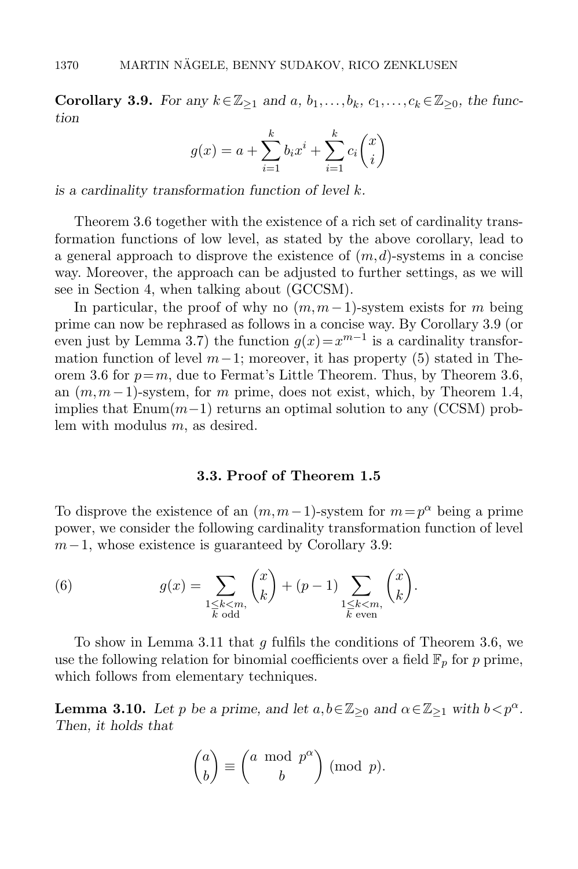Corollary 3.9. For any  $k \in \mathbb{Z}_{\geq 1}$  and  $a, b_1, \ldots, b_k, c_1, \ldots, c_k \in \mathbb{Z}_{\geq 0}$ , the function

$$
g(x) = a + \sum_{i=1}^{k} b_i x^{i} + \sum_{i=1}^{k} c_i {x \choose i}
$$

is a cardinality transformation function of level  $k$ .

Theorem [3.6](#page-16-1) together with the existence of a rich set of cardinality transformation functions of low level, as stated by the above corollary, lead to a general approach to disprove the existence of  $(m, d)$ -systems in a concise way. Moreover, the approach can be adjusted to further settings, as we will see in Section [4,](#page-21-0) when talking about [\(GCCSM\)](#page-4-0).

In particular, the proof of why no  $(m, m-1)$ -system exists for m being prime can now be rephrased as follows in a concise way. By Corollary [3.9](#page-18-1) (or even just by Lemma [3.7\)](#page-17-0) the function  $g(x) = x^{m-1}$  is a cardinality transformation function of level  $m-1$ ; moreover, it has property [\(5\)](#page-17-1) stated in The-orem [3.6](#page-16-1) for  $p=m$ , due to Fermat's Little Theorem. Thus, by Theorem [3.6,](#page-16-1) an  $(m, m-1)$ -system, for m prime, does not exist, which, by Theorem [1.4,](#page-7-0) implies that  $\text{Enum}(m-1)$  returns an optimal solution to any [\(CCSM\)](#page-2-0) problem with modulus m, as desired.

## 3.3. Proof of Theorem [1.5](#page-7-1)

<span id="page-19-0"></span>To disprove the existence of an  $(m, m-1)$ -system for  $m = p^{\alpha}$  being a prime power, we consider the following cardinality transformation function of level  $m-1$ , whose existence is guaranteed by Corollary [3.9:](#page-18-1)

<span id="page-19-1"></span>(6) 
$$
g(x) = \sum_{\substack{1 \le k < m, \\ k \text{ odd}}} {x \choose k} + (p-1) \sum_{\substack{1 \le k < m, \\ k \text{ even}}} {x \choose k}.
$$

To show in Lemma [3.11](#page-20-0) that g fulfils the conditions of Theorem [3.6,](#page-16-1) we use the following relation for binomial coefficients over a field  $\mathbb{F}_p$  for p prime, which follows from elementary techniques.

<span id="page-19-2"></span>**Lemma 3.10.** Let p be a prime, and let  $a, b \in \mathbb{Z}_{\geq 0}$  and  $\alpha \in \mathbb{Z}_{\geq 1}$  with  $b < p^{\alpha}$ . Then, it holds that

$$
\binom{a}{b} \equiv \binom{a \mod p^{\alpha}}{b} \pmod{p}.
$$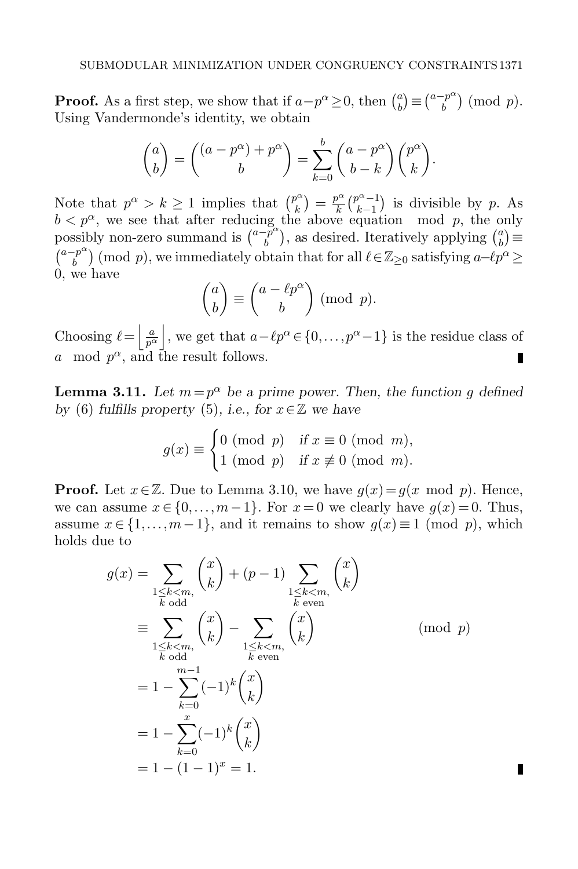**Proof.** As a first step, we show that if  $a-p^{\alpha} \geq 0$ , then  $\binom{a}{b}$  $\binom{a}{b} \equiv \binom{a-p^{\alpha}}{b}$  $\binom{p^{\alpha}}{b}$  (mod p). Using Vandermonde's identity, we obtain

$$
\binom{a}{b} = \binom{(a-p^{\alpha})+p^{\alpha}}{b} = \sum_{k=0}^{b} \binom{a-p^{\alpha}}{b-k} \binom{p^{\alpha}}{k}.
$$

Note that  $p^{\alpha} > k \geq 1$  implies that  $\binom{p^{\alpha}}{k}$  $\binom{p^{\alpha}}{k} = \frac{p^{\alpha}}{k}$  $\frac{p^{\alpha}}{k}$  $\binom{p^{\alpha}-1}{k-1}$  $\binom{p^{\alpha}-1}{k-1}$  is divisible by p. As  $b < p^{\alpha}$ , we see that after reducing the above equation mod p, the only possibly non-zero summand is  $\binom{a-p^{\alpha}}{b}$  $\binom{-p^{\alpha}}{b}$ , as desired. Iteratively applying  $\binom{a}{b}$  $\binom{a}{b} \equiv$  $\binom{a-p^{\alpha}}{b}$  $\mathbb{E}_{b}^{p^{\alpha}}$  (mod p), we immediately obtain that for all  $\ell \in \mathbb{Z}_{\geq 0}$  satisfying  $a-\ell p^{\alpha} \geq$ 0, we have

$$
\binom{a}{b} \equiv \binom{a - \ell p^{\alpha}}{b} \pmod{p}.
$$

Choosing  $\ell = \left| \frac{a}{p^{\alpha}} \right|$ , we get that  $a - \ell p^{\alpha} \in \{0, \ldots, p^{\alpha}-1\}$  is the residue class of a mod  $p^{\alpha}$ , and the result follows. П

<span id="page-20-0"></span>**Lemma 3.11.** Let  $m = p^{\alpha}$  be a prime power. Then, the function g defined by [\(6\)](#page-19-1) fulfills property [\(5\)](#page-17-1), i.e., for  $x \in \mathbb{Z}$  we have

$$
g(x) \equiv \begin{cases} 0 \pmod{p} & \text{if } x \equiv 0 \pmod{m}, \\ 1 \pmod{p} & \text{if } x \not\equiv 0 \pmod{m}. \end{cases}
$$

**Proof.** Let  $x \in \mathbb{Z}$ . Due to Lemma [3.10,](#page-19-2) we have  $g(x) = g(x \mod p)$ . Hence, we can assume  $x \in \{0, \ldots, m-1\}$ . For  $x = 0$  we clearly have  $g(x) = 0$ . Thus, assume  $x \in \{1, \ldots, m-1\}$ , and it remains to show  $g(x) \equiv 1 \pmod{p}$ , which holds due to

$$
g(x) = \sum_{\substack{1 \le k < m, \\ k \text{ odd}}} {x \choose k} + (p-1) \sum_{\substack{1 \le k < m, \\ k \text{ even}}} {x \choose k}
$$

$$
\equiv \sum_{\substack{1 \le k < m, \\ k \text{ odd}}} {x \choose k} - \sum_{\substack{1 \le k < m, \\ k \text{ even}}} {x \choose k} \pmod{p}
$$

$$
= 1 - \sum_{k=0}^{m-1} (-1)^k {x \choose k}
$$

$$
= 1 - \sum_{k=0}^{x} (-1)^k {x \choose k}
$$

$$
= 1 - (1 - 1)^x = 1.
$$

п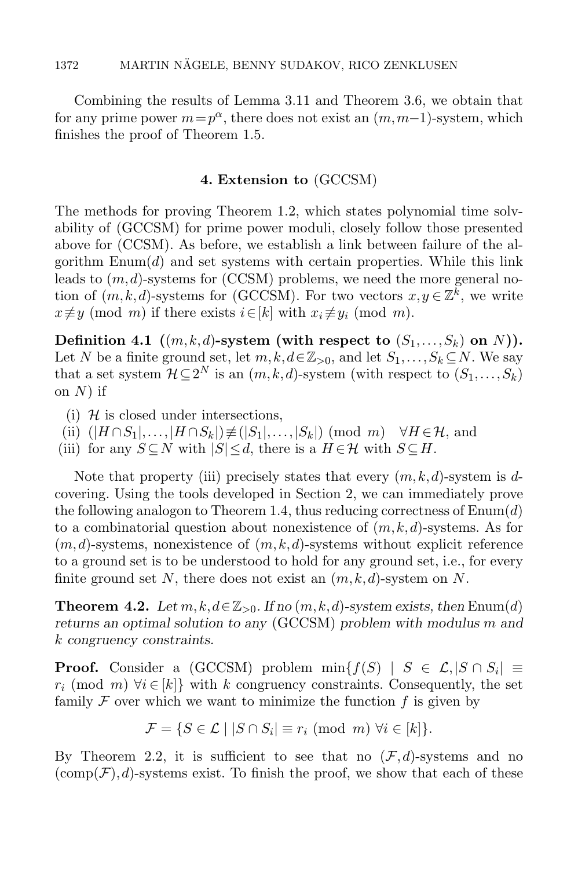Combining the results of Lemma [3.11](#page-20-0) and Theorem [3.6,](#page-16-1) we obtain that for any prime power  $m = p^{\alpha}$ , there does not exist an  $(m, m-1)$ -system, which finishes the proof of Theorem [1.5.](#page-7-1)

#### 4. Extension to [\(GCCSM\)](#page-4-0)

<span id="page-21-0"></span>The methods for proving Theorem [1.2,](#page-5-1) which states polynomial time solvability of [\(GCCSM\)](#page-4-0) for prime power moduli, closely follow those presented above for [\(CCSM\)](#page-2-0). As before, we establish a link between failure of the algorithm  $\text{Enum}(d)$  and set systems with certain properties. While this link leads to  $(m, d)$ -systems for [\(CCSM\)](#page-2-0) problems, we need the more general notion of  $(m, k, d)$ -systems for [\(GCCSM\)](#page-4-0). For two vectors  $x, y \in \mathbb{Z}^k$ , we write  $x \not\equiv y \pmod{m}$  if there exists  $i \in [k]$  with  $x_i \not\equiv y_i \pmod{m}$ .

<span id="page-21-4"></span>Definition 4.1  $((m, k, d)$ -system (with respect to  $(S_1, \ldots, S_k)$  on N)). Let N be a finite ground set, let  $m, k, d \in \mathbb{Z}_{\geq 0}$ , and let  $S_1, \ldots, S_k \subseteq N$ . We say that a set system  $\mathcal{H} \subseteq 2^N$  is an  $(m, k, d)$ -system (with respect to  $(S_1, \ldots, S_k)$ ) on  $N$ ) if

- <span id="page-21-3"></span>(i)  $H$  is closed under intersections,
- <span id="page-21-2"></span>(ii)  $(|H \cap S_1|, \ldots, |H \cap S_k|) \not\equiv (|S_1|, \ldots, |S_k|) \pmod{m} \quad \forall H \in \mathcal{H}$ , and
- <span id="page-21-1"></span>(iii) for any  $S \subseteq N$  with  $|S| \leq d$ , there is a  $H \in \mathcal{H}$  with  $S \subseteq H$ .

Note that property [\(iii\)](#page-21-1) precisely states that every  $(m, k, d)$ -system is dcovering. Using the tools developed in Section [2,](#page-8-0) we can immediately prove the following analogon to Theorem [1.4,](#page-7-0) thus reducing correctness of  $\text{Enum}(d)$ to a combinatorial question about nonexistence of  $(m, k, d)$ -systems. As for  $(m, d)$ -systems, nonexistence of  $(m, k, d)$ -systems without explicit reference to a ground set is to be understood to hold for any ground set, i.e., for every finite ground set N, there does not exist an  $(m, k, d)$ -system on N.

**Theorem 4.2.** Let  $m, k, d \in \mathbb{Z}_{>0}$ . If no  $(m, k, d)$ -system exists, then [Enum\(](#page-6-0)d) returns an optimal solution to any [\(GCCSM\)](#page-4-0) problem with modulus m and k congruency constraints.

**Proof.** Consider a [\(GCCSM\)](#page-4-0) problem  $min{f(S) | S \in \mathcal{L}, |S \cap S_i| \equiv}$  $r_i \pmod{m}$   $\forall i \in [k]$  with k congruency constraints. Consequently, the set family  $\mathcal F$  over which we want to minimize the function  $f$  is given by

$$
\mathcal{F} = \{ S \in \mathcal{L} \mid |S \cap S_i| \equiv r_i \pmod{m} \; \forall i \in [k] \}.
$$

By Theorem [2.2,](#page-8-1) it is sufficient to see that no  $(\mathcal{F}, d)$ -systems and no  $(\text{comp}(\mathcal{F}), d)$ -systems exist. To finish the proof, we show that each of these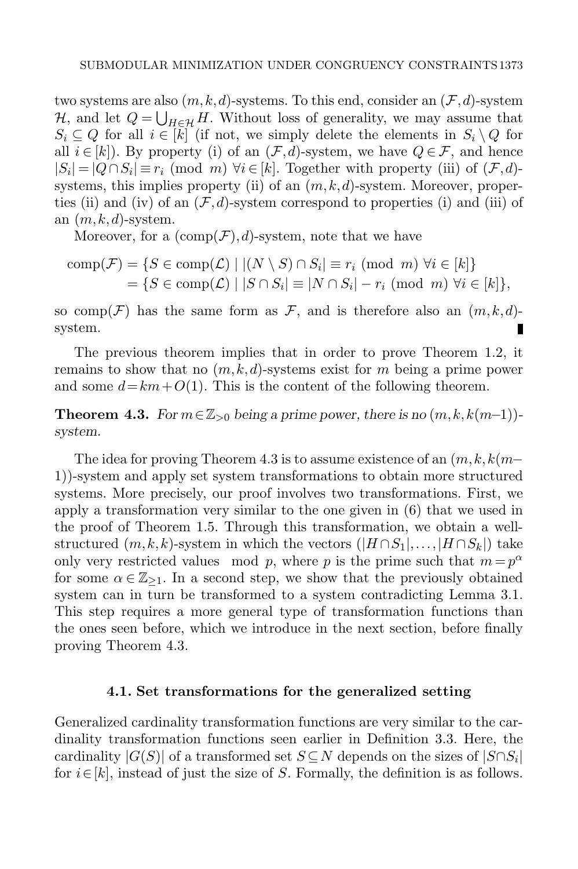two systems are also  $(m, k, d)$ -systems. To this end, consider an  $(\mathcal{F}, d)$ -system H, and let  $Q = \bigcup_{H \in \mathcal{H}} H$ . Without loss of generality, we may assume that  $S_i \subseteq Q$  for all  $i \in [k]$  (if not, we simply delete the elements in  $S_i \setminus Q$  for all  $i \in [k]$ . By property [\(i\)](#page-8-4) of an  $(\mathcal{F}, d)$ -system, we have  $Q \in \mathcal{F}$ , and hence  $|S_i| = |Q \cap S_i| \equiv r_i \pmod{m} \ \forall i \in [k]$ . Together with property [\(iii\)](#page-8-5) of  $(\mathcal{F}, d)$ -systems, this implies property [\(ii\)](#page-21-2) of an  $(m, k, d)$ -system. Moreover, proper-ties [\(ii\)](#page-8-2) and [\(iv\)](#page-8-3) of an  $(\mathcal{F}, d)$ -system correspond to properties [\(i\)](#page-21-3) and [\(iii\)](#page-21-1) of an  $(m, k, d)$ -system.

Moreover, for a  $(\text{comp}(\mathcal{F}), d)$ -system, note that we have

$$
\text{comp}(\mathcal{F}) = \{ S \in \text{comp}(\mathcal{L}) \mid |(N \setminus S) \cap S_i| \equiv r_i \pmod{m} \ \forall i \in [k] \}
$$
  
= 
$$
\{ S \in \text{comp}(\mathcal{L}) \mid |S \cap S_i| \equiv |N \cap S_i| - r_i \pmod{m} \ \forall i \in [k] \},
$$

so comp( $\mathcal{F}$ ) has the same form as  $\mathcal{F}$ , and is therefore also an  $(m, k, d)$ system. П

The previous theorem implies that in order to prove Theorem [1.2,](#page-5-1) it remains to show that no  $(m, k, d)$ -systems exist for m being a prime power and some  $d=km+O(1)$ . This is the content of the following theorem.

<span id="page-22-0"></span>**Theorem 4.3.** For  $m \in \mathbb{Z}_{>0}$  being a prime power, there is no  $(m, k, k(m-1))$ system.

The idea for proving Theorem [4.3](#page-22-0) is to assume existence of an  $(m, k, k(m-$ 1))-system and apply set system transformations to obtain more structured systems. More precisely, our proof involves two transformations. First, we apply a transformation very similar to the one given in [\(6\)](#page-19-1) that we used in the proof of Theorem [1.5.](#page-7-1) Through this transformation, we obtain a wellstructured  $(m, k, k)$ -system in which the vectors  $(|H \cap S_1|, \ldots, |H \cap S_k|)$  take only very restricted values mod p, where p is the prime such that  $m = p^{\alpha}$ for some  $\alpha \in \mathbb{Z}_{\geq 1}$ . In a second step, we show that the previously obtained system can in turn be transformed to a system contradicting Lemma [3.1.](#page-13-1) This step requires a more general type of transformation functions than the ones seen before, which we introduce in the next section, before finally proving Theorem [4.3.](#page-22-0)

#### 4.1. Set transformations for the generalized setting

<span id="page-22-1"></span>Generalized cardinality transformation functions are very similar to the cardinality transformation functions seen earlier in Definition [3.3.](#page-15-2) Here, the cardinality  $|G(S)|$  of a transformed set  $S \subseteq N$  depends on the sizes of  $|S \cap S_i|$ for  $i \in [k]$ , instead of just the size of S. Formally, the definition is as follows.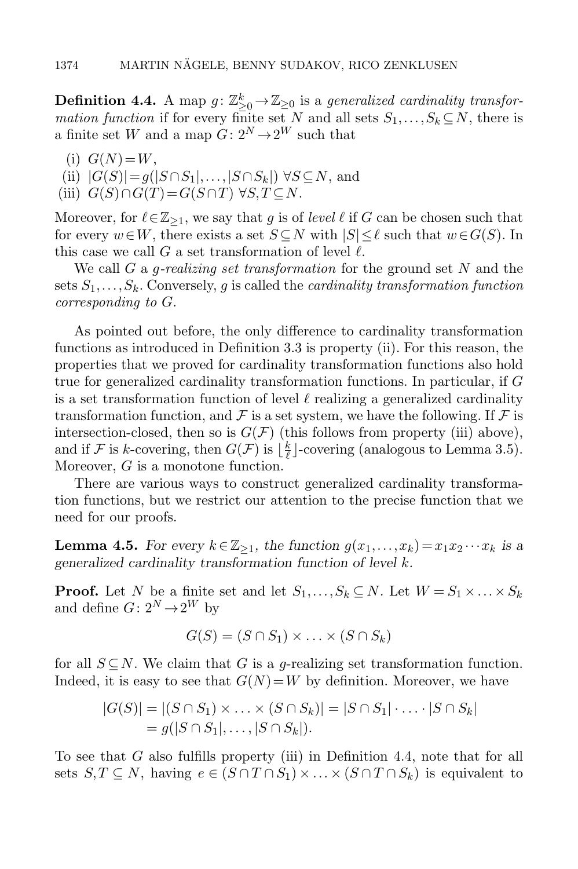**Definition 4.4.** A map  $g: \mathbb{Z}_{\geq 0}^k \to \mathbb{Z}_{\geq 0}$  is a generalized cardinality transfor*mation function* if for every finite set N and all sets  $S_1, \ldots, S_k \subseteq N$ , there is a finite set W and a map  $G: 2^N \rightarrow 2^W$  such that

- (i)  $G(N)=W$ ,
- <span id="page-23-0"></span>(ii)  $|G(S)| = g(|S \cap S_1|, \ldots, |S \cap S_k|) \forall S \subseteq N$ , and
- <span id="page-23-1"></span>(iii)  $G(S) \cap G(T) = G(S \cap T) \forall S, T \subseteq N$ .

Moreover, for  $\ell \in \mathbb{Z}_{\geq 1}$ , we say that g is of level  $\ell$  if G can be chosen such that for every  $w\in W$ , there exists a set  $S\subset N$  with  $|S|\leq \ell$  such that  $w\in G(S)$ . In this case we call G a set transformation of level  $\ell$ .

We call G a *q-realizing set transformation* for the ground set N and the sets  $S_1, \ldots, S_k$ . Conversely, q is called the *cardinality transformation function* corresponding to G.

As pointed out before, the only difference to cardinality transformation functions as introduced in Definition [3.3](#page-15-2) is property [\(ii\).](#page-23-0) For this reason, the properties that we proved for cardinality transformation functions also hold true for generalized cardinality transformation functions. In particular, if G is a set transformation function of level  $\ell$  realizing a generalized cardinality transformation function, and F is a set system, we have the following. If F is intersection-closed, then so is  $G(\mathcal{F})$  (this follows from property [\(iii\)](#page-23-1) above), and if F is k-covering, then  $G(\mathcal{F})$  is  $\lfloor \frac{k}{\ell} \rfloor$  $\frac{k}{\ell}$ ]-covering (analogous to Lemma [3.5\)](#page-16-0). Moreover, G is a monotone function.

There are various ways to construct generalized cardinality transformation functions, but we restrict our attention to the precise function that we need for our proofs.

<span id="page-23-2"></span>**Lemma 4.5.** For every  $k \in \mathbb{Z}_{\geq 1}$ , the function  $g(x_1,...,x_k) = x_1x_2 \cdots x_k$  is a generalized cardinality transformation function of level k.

**Proof.** Let N be a finite set and let  $S_1, \ldots, S_k \subseteq N$ . Let  $W = S_1 \times \ldots \times S_k$ and define  $G: 2^N \rightarrow 2^W$  by

$$
G(S) = (S \cap S_1) \times \ldots \times (S \cap S_k)
$$

for all  $S \subseteq N$ . We claim that G is a q-realizing set transformation function. Indeed, it is easy to see that  $G(N) = W$  by definition. Moreover, we have

$$
|G(S)| = |(S \cap S_1) \times \ldots \times (S \cap S_k)| = |S \cap S_1| \cdot \ldots \cdot |S \cap S_k|
$$
  
=  $g(|S \cap S_1|, \ldots, |S \cap S_k|).$ 

To see that G also fulfills property [\(iii\)](#page-23-1) in Definition [4.4,](#page-22-1) note that for all sets  $S, T \subseteq N$ , having  $e \in (S \cap T \cap S_1) \times ... \times (S \cap T \cap S_k)$  is equivalent to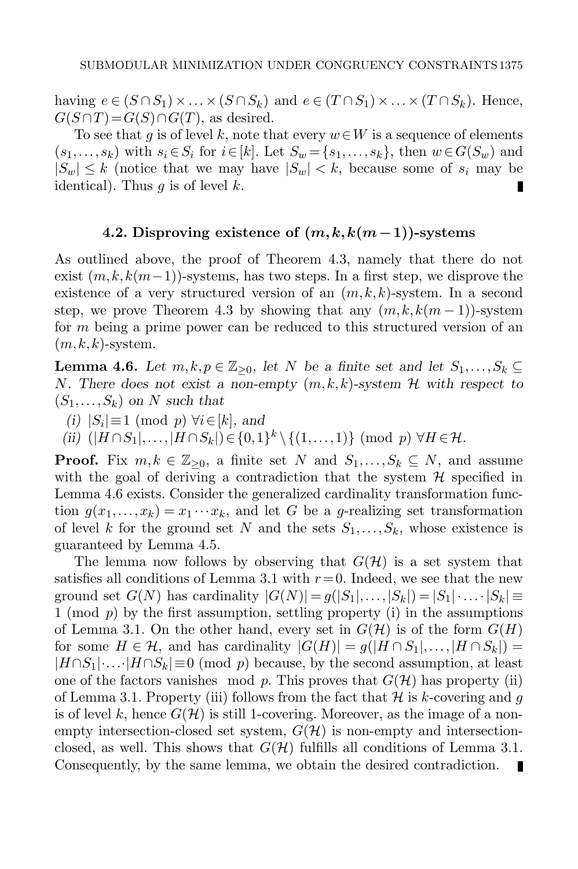having  $e \in (S \cap S_1) \times ... \times (S \cap S_k)$  and  $e \in (T \cap S_1) \times ... \times (T \cap S_k)$ . Hence,  $G(S \cap T) = G(S) \cap G(T)$ , as desired.

To see that g is of level k, note that every  $w \in W$  is a sequence of elements  $(s_1,\ldots,s_k)$  with  $s_i \in S_i$  for  $i \in [k]$ . Let  $S_w = \{s_1,\ldots,s_k\}$ , then  $w \in G(S_w)$  and  $|S_w| \leq k$  (notice that we may have  $|S_w| < k$ , because some of  $s_i$  may be identical). Thus  $q$  is of level  $k$ . П

# 4.2. Disproving existence of  $(m, k, k(m-1))$ -systems

As outlined above, the proof of Theorem [4.3,](#page-22-0) namely that there do not exist  $(m, k, k(m-1))$ -systems, has two steps. In a first step, we disprove the existence of a very structured version of an  $(m, k, k)$ -system. In a second step, we prove Theorem [4.3](#page-22-0) by showing that any  $(m, k, k(m-1))$ -system for  $m$  being a prime power can be reduced to this structured version of an  $(m, k, k)$ -system.

<span id="page-24-0"></span>**Lemma 4.6.** Let  $m, k, p \in \mathbb{Z}_{\geq 0}$ , let N be a finite set and let  $S_1, \ldots, S_k \subseteq$ N. There does not exist a non-empty  $(m, k, k)$ -system  $H$  with respect to  $(S_1,\ldots,S_k)$  on N such that

- (i)  $|S_i|$ ≡1 (mod p)  $\forall i \in [k]$ , and
- (ii)  $(|H \cap S_1|, \ldots, |H \cap S_k|) \in \{0,1\}^k \setminus \{(1,\ldots,1)\}$  (mod p)  $\forall H \in \mathcal{H}$ .

**Proof.** Fix  $m, k \in \mathbb{Z}_{\geq 0}$ , a finite set N and  $S_1, \ldots, S_k \subseteq N$ , and assume with the goal of deriving a contradiction that the system  $\mathcal H$  specified in Lemma [4.6](#page-24-0) exists. Consider the generalized cardinality transformation function  $g(x_1,...,x_k) = x_1 \cdots x_k$ , and let G be a g-realizing set transformation of level k for the ground set N and the sets  $S_1, \ldots, S_k$ , whose existence is guaranteed by Lemma [4.5.](#page-23-2)

The lemma now follows by observing that  $G(\mathcal{H})$  is a set system that satisfies all conditions of Lemma [3.1](#page-13-1) with  $r=0$ . Indeed, we see that the new ground set  $G(N)$  has cardinality  $|G(N)| = g(|S_1|, \ldots, |S_k|) = |S_1| \cdot \ldots \cdot |S_k| \equiv$ 1 (mod  $p$ ) by the first assumption, settling property [\(i\)](#page-13-2) in the assumptions of Lemma [3.1.](#page-13-1) On the other hand, every set in  $G(\mathcal{H})$  is of the form  $G(H)$ for some  $H \in \mathcal{H}$ , and has cardinality  $|G(H)| = g(|H \cap S_1|, \ldots, |H \cap S_k|) =$  $|H \cap S_1| \dots |H \cap S_k| \equiv 0 \pmod{p}$  because, by the second assumption, at least one of the factors vanishes mod p. This proves that  $G(\mathcal{H})$  has property [\(ii\)](#page-13-3) of Lemma [3.1.](#page-13-1) Property [\(iii\)](#page-13-4) follows from the fact that  $\mathcal H$  is k-covering and g is of level k, hence  $G(\mathcal{H})$  is still 1-covering. Moreover, as the image of a nonempty intersection-closed set system,  $G(\mathcal{H})$  is non-empty and intersectionclosed, as well. This shows that  $G(\mathcal{H})$  fulfills all conditions of Lemma [3.1.](#page-13-1) Consequently, by the same lemma, we obtain the desired contradiction.п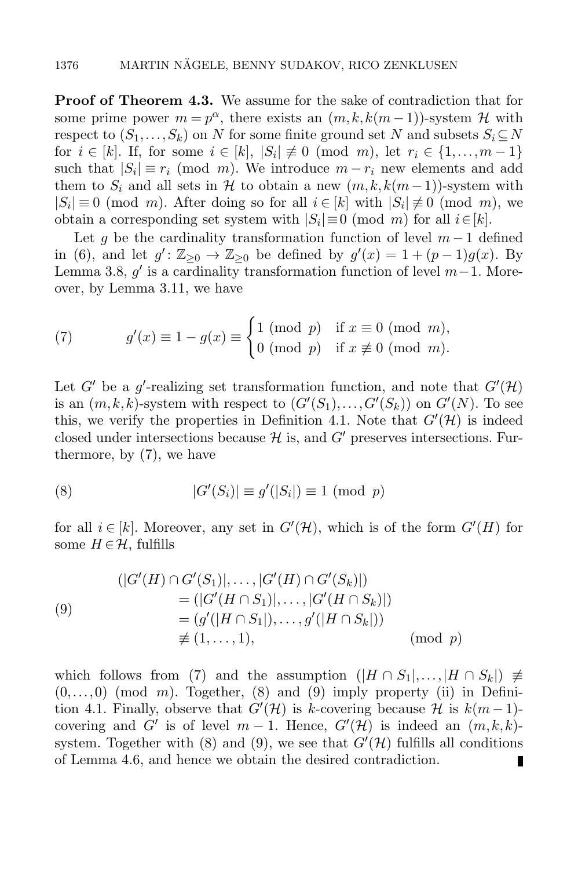**Proof of Theorem [4.3.](#page-22-0)** We assume for the sake of contradiction that for some prime power  $m = p^{\alpha}$ , there exists an  $(m, k, k(m-1))$ -system H with respect to  $(S_1, \ldots, S_k)$  on N for some finite ground set N and subsets  $S_i \subseteq N$ for  $i \in [k]$ . If, for some  $i \in [k]$ ,  $|S_i| \not\equiv 0 \pmod{m}$ , let  $r_i \in \{1, ..., m-1\}$ such that  $|S_i| \equiv r_i \pmod{m}$ . We introduce  $m - r_i$  new elements and add them to  $S_i$  and all sets in H to obtain a new  $(m, k, k(m-1))$ -system with  $|S_i| \equiv 0 \pmod{m}$ . After doing so for all  $i \in [k]$  with  $|S_i| \not\equiv 0 \pmod{m}$ , we obtain a corresponding set system with  $|S_i| \equiv 0 \pmod{m}$  for all  $i \in [k]$ .

Let g be the cardinality transformation function of level  $m-1$  defined in [\(6\)](#page-19-1), and let  $g' \colon \mathbb{Z}_{\geq 0} \to \mathbb{Z}_{\geq 0}$  be defined by  $g'(x) = 1 + (p-1)g(x)$ . By Lemma [3.8,](#page-18-0)  $g'$  is a cardinality transformation function of level  $m-1$ . Moreover, by Lemma [3.11,](#page-20-0) we have

<span id="page-25-0"></span>(7) 
$$
g'(x) \equiv 1 - g(x) \equiv \begin{cases} 1 \pmod{p} & \text{if } x \equiv 0 \pmod{m}, \\ 0 \pmod{p} & \text{if } x \not\equiv 0 \pmod{m}. \end{cases}
$$

Let G' be a g'-realizing set transformation function, and note that  $G'(\mathcal{H})$ is an  $(m, k, k)$ -system with respect to  $(G'(S_1),..., G'(S_k))$  on  $G'(N)$ . To see this, we verify the properties in Definition [4.1.](#page-21-4) Note that  $G'(\mathcal{H})$  is indeed closed under intersections because  $\mathcal H$  is, and  $G'$  preserves intersections. Furthermore, by [\(7\)](#page-25-0), we have

<span id="page-25-1"></span>(8) 
$$
|G'(S_i)| \equiv g'(|S_i|) \equiv 1 \pmod{p}
$$

for all  $i \in [k]$ . Moreover, any set in  $G'(\mathcal{H})$ , which is of the form  $G'(H)$  for some  $H \in \mathcal{H}$ , fulfills

<span id="page-25-2"></span>(9)  
\n
$$
(|G'(H) \cap G'(S_1)|, \dots, |G'(H) \cap G'(S_k)|)
$$
\n
$$
= (|G'(H \cap S_1)|, \dots, |G'(H \cap S_k)|)
$$
\n
$$
= (g'(|H \cap S_1|), \dots, g'(|H \cap S_k|))
$$
\n
$$
\not\equiv (1, \dots, 1), \qquad (\text{mod } p)
$$

which follows from [\(7\)](#page-25-0) and the assumption  $(|H \cap S_1|, \ldots, |H \cap S_k|) \neq$  $(0,\ldots,0)$  (mod m). Together, [\(8\)](#page-25-1) and [\(9\)](#page-25-2) imply property [\(ii\)](#page-21-2) in Defini-tion [4.1.](#page-21-4) Finally, observe that  $G'(\mathcal{H})$  is k-covering because  $\mathcal{H}$  is  $k(m-1)$ covering and G' is of level  $m-1$ . Hence,  $G'(\mathcal{H})$  is indeed an  $(m, k, k)$ -system. Together with [\(8\)](#page-25-1) and [\(9\)](#page-25-2), we see that  $G'(\mathcal{H})$  fulfills all conditions of Lemma [4.6,](#page-24-0) and hence we obtain the desired contradiction.П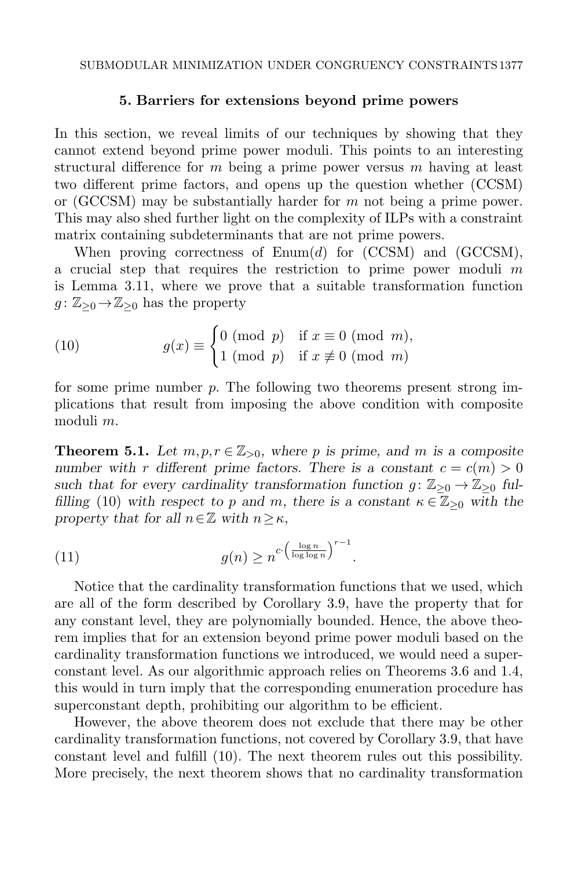#### 5. Barriers for extensions beyond prime powers

<span id="page-26-0"></span>In this section, we reveal limits of our techniques by showing that they cannot extend beyond prime power moduli. This points to an interesting structural difference for  $m$  being a prime power versus  $m$  having at least two different prime factors, and opens up the question whether [\(CCSM\)](#page-2-0) or [\(GCCSM\)](#page-4-0) may be substantially harder for  $m$  not being a prime power. This may also shed further light on the complexity of ILPs with a constraint matrix containing subdeterminants that are not prime powers.

When proving correctness of  $\text{Enum}(d)$  for  $(\text{CCSM})$  and  $(\text{GCCSM})$ , a crucial step that requires the restriction to prime power moduli  $m$ is Lemma [3.11,](#page-20-0) where we prove that a suitable transformation function  $g: \mathbb{Z}_{\geq 0} \to \mathbb{Z}_{\geq 0}$  has the property

<span id="page-26-1"></span>(10) 
$$
g(x) \equiv \begin{cases} 0 \pmod{p} & \text{if } x \equiv 0 \pmod{m}, \\ 1 \pmod{p} & \text{if } x \not\equiv 0 \pmod{m} \end{cases}
$$

for some prime number  $p$ . The following two theorems present strong implications that result from imposing the above condition with composite moduli m.

<span id="page-26-2"></span>**Theorem 5.1.** Let  $m, p, r \in \mathbb{Z}_{>0}$ , where p is prime, and m is a composite number with r different prime factors. There is a constant  $c = c(m) > 0$ such that for every cardinality transformation function  $g: \mathbb{Z}_{\geq 0} \to \mathbb{Z}_{\geq 0}$  ful-filling [\(10\)](#page-26-1) with respect to p and m, there is a constant  $\kappa \in \mathbb{Z}_{\geq 0}$  with the property that for all  $n \in \mathbb{Z}$  with  $n \geq \kappa$ ,

(11) 
$$
g(n) \geq n^{c \cdot \left(\frac{\log n}{\log \log n}\right)^{r-1}}.
$$

Notice that the cardinality transformation functions that we used, which are all of the form described by Corollary [3.9,](#page-18-1) have the property that for any constant level, they are polynomially bounded. Hence, the above theorem implies that for an extension beyond prime power moduli based on the cardinality transformation functions we introduced, we would need a superconstant level. As our algorithmic approach relies on Theorems [3.6](#page-16-1) and [1.4,](#page-7-0) this would in turn imply that the corresponding enumeration procedure has superconstant depth, prohibiting our algorithm to be efficient.

However, the above theorem does not exclude that there may be other cardinality transformation functions, not covered by Corollary [3.9,](#page-18-1) that have constant level and fulfill [\(10\)](#page-26-1). The next theorem rules out this possibility. More precisely, the next theorem shows that no cardinality transformation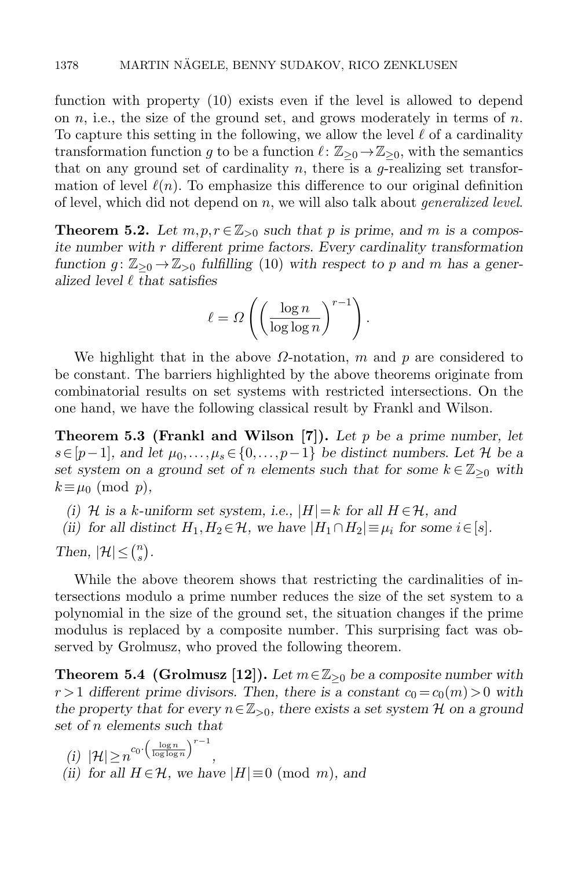function with property [\(10\)](#page-26-1) exists even if the level is allowed to depend on n, i.e., the size of the ground set, and grows moderately in terms of n. To capture this setting in the following, we allow the level  $\ell$  of a cardinality transformation function g to be a function  $\ell : \mathbb{Z}_{\geq 0} \to \mathbb{Z}_{\geq 0}$ , with the semantics that on any ground set of cardinality  $n$ , there is a g-realizing set transformation of level  $\ell(n)$ . To emphasize this difference to our original definition of level, which did not depend on n, we will also talk about *generalized level*.

<span id="page-27-0"></span>**Theorem 5.2.** Let  $m, p, r \in \mathbb{Z}_{>0}$  such that p is prime, and m is a composite number with  $r$  different prime factors. Every cardinality transformation function  $g: \mathbb{Z}_{\geq 0} \to \mathbb{Z}_{\geq 0}$  fulfilling [\(10\)](#page-26-1) with respect to p and m has a generalized level  $\ell$  that satisfies

$$
\ell = \Omega \left( \left( \frac{\log n}{\log \log n} \right)^{r-1} \right).
$$

We highlight that in the above  $\Omega$ -notation, m and p are considered to be constant. The barriers highlighted by the above theorems originate from combinatorial results on set systems with restricted intersections. On the one hand, we have the following classical result by Frankl and Wilson.

<span id="page-27-2"></span>**Theorem 5.3 (Frankl and Wilson [\[7\]](#page-34-16)).** Let p be a prime number, let  $s\in[p-1]$ , and let  $\mu_0,\ldots,\mu_s\in\{0,\ldots,p-1\}$  be distinct numbers. Let H be a set system on a ground set of n elements such that for some  $k \in \mathbb{Z}_{\geq 0}$  with  $k \equiv \mu_0 \pmod{p}$ ,

(i) H is a k-uniform set system, i.e.,  $|H|=k$  for all  $H \in \mathcal{H}$ , and

(ii) for all distinct  $H_1, H_2 \in \mathcal{H}$ , we have  $|H_1 \cap H_2| \equiv \mu_i$  for some  $i \in [s]$ .

Then,  $|\mathcal{H}| \leq {n \choose s}$  $\binom{n}{s}$ .

While the above theorem shows that restricting the cardinalities of intersections modulo a prime number reduces the size of the set system to a polynomial in the size of the ground set, the situation changes if the prime modulus is replaced by a composite number. This surprising fact was observed by Grolmusz, who proved the following theorem.

<span id="page-27-1"></span>**Theorem 5.4 (Grolmusz [\[12\]](#page-34-17)).** Let  $m \in \mathbb{Z}_{\geq 0}$  be a composite number with  $r > 1$  different prime divisors. Then, there is a constant  $c_0 = c_0(m) > 0$  with the property that for every  $n \in \mathbb{Z}_{>0}$ , there exists a set system H on a ground set of n elements such that

(i) 
$$
|\mathcal{H}| \ge n^{c_0 \cdot (\frac{\log n}{\log \log n})^{r-1}}
$$
,  
(ii) for all  $H \in \mathcal{H}$ , we have  $|H| \equiv 0 \pmod{m}$ , and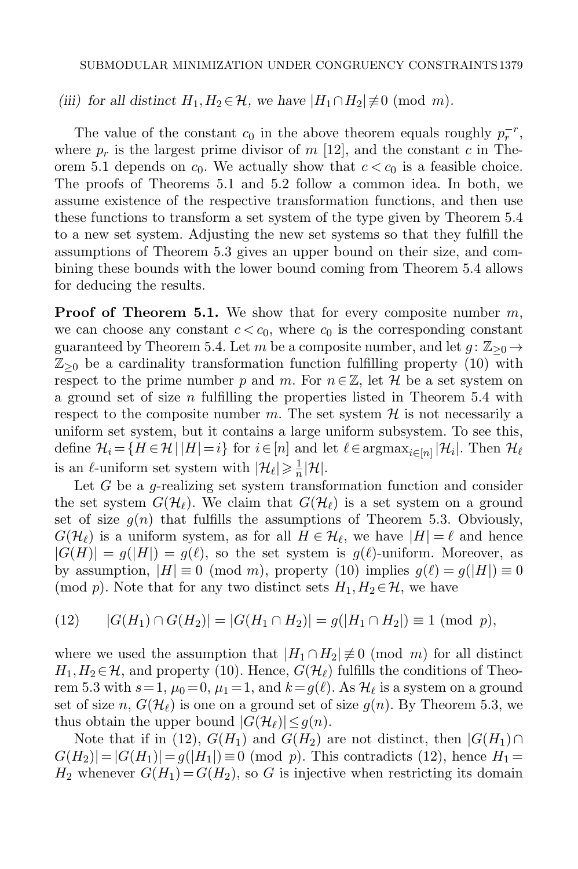(iii) for all distinct  $H_1, H_2 \in \mathcal{H}$ , we have  $|H_1 \cap H_2| \not\equiv 0 \pmod{m}$ .

The value of the constant  $c_0$  in the above theorem equals roughly  $p_r^{-r}$ , where  $p_r$  is the largest prime divisor of m [\[12\]](#page-34-17), and the constant c in The-orem [5.1](#page-26-2) depends on  $c_0$ . We actually show that  $c < c_0$  is a feasible choice. The proofs of Theorems [5.1](#page-26-2) and [5.2](#page-27-0) follow a common idea. In both, we assume existence of the respective transformation functions, and then use these functions to transform a set system of the type given by Theorem [5.4](#page-27-1) to a new set system. Adjusting the new set systems so that they fulfill the assumptions of Theorem [5.3](#page-27-2) gives an upper bound on their size, and combining these bounds with the lower bound coming from Theorem [5.4](#page-27-1) allows for deducing the results.

**Proof of Theorem [5.1.](#page-26-2)** We show that for every composite number  $m$ , we can choose any constant  $c < c_0$ , where  $c_0$  is the corresponding constant guaranteed by Theorem [5.4.](#page-27-1) Let m be a composite number, and let  $g: \mathbb{Z}_{\geq 0} \to$  $\mathbb{Z}_{\geq 0}$  be a cardinality transformation function fulfilling property [\(10\)](#page-26-1) with respect to the prime number p and m. For  $n \in \mathbb{Z}$ , let H be a set system on a ground set of size  $n$  fulfilling the properties listed in Theorem [5.4](#page-27-1) with respect to the composite number m. The set system  $H$  is not necessarily a uniform set system, but it contains a large uniform subsystem. To see this, define  $\mathcal{H}_i = \{H \in \mathcal{H} \, | \, |H|=i\}$  for  $i \in [n]$  and let  $\ell \in \text{argmax}_{i \in [n]} |\mathcal{H}_i|$ . Then  $\mathcal{H}_\ell$ is an  $\ell$ -uniform set system with  $|\mathcal{H}_{\ell}| \geqslant \frac{1}{n}$  $\frac{1}{n}|\mathcal{H}|.$ 

Let  $G$  be a *g*-realizing set system transformation function and consider the set system  $G(\mathcal{H}_{\ell})$ . We claim that  $G(\mathcal{H}_{\ell})$  is a set system on a ground set of size  $g(n)$  that fulfills the assumptions of Theorem [5.3.](#page-27-2) Obviously,  $G(\mathcal{H}_{\ell})$  is a uniform system, as for all  $H \in \mathcal{H}_{\ell}$ , we have  $|H| = \ell$  and hence  $|G(H)| = g(|H|) = g(\ell)$ , so the set system is  $g(\ell)$ -uniform. Moreover, as by assumption,  $|H| \equiv 0 \pmod{m}$ , property [\(10\)](#page-26-1) implies  $g(\ell) = g(|H|) \equiv 0$ (mod p). Note that for any two distinct sets  $H_1, H_2 \in \mathcal{H}$ , we have

<span id="page-28-0"></span>
$$
(12) \qquad |G(H_1) \cap G(H_2)| = |G(H_1 \cap H_2)| = g(|H_1 \cap H_2|) \equiv 1 \pmod{p},
$$

where we used the assumption that  $|H_1 \cap H_2| \neq 0 \pmod{m}$  for all distinct  $H_1,H_2\in\mathcal{H}$ , and property [\(10\)](#page-26-1). Hence,  $G(\mathcal{H}_\ell)$  fulfills the conditions of Theo-rem [5.3](#page-27-2) with  $s = 1$ ,  $\mu_0 = 0$ ,  $\mu_1 = 1$ , and  $k = g(\ell)$ . As  $\mathcal{H}_\ell$  is a system on a ground set of size n,  $G(\mathcal{H}_{\ell})$  is one on a ground set of size  $g(n)$ . By Theorem [5.3,](#page-27-2) we thus obtain the upper bound  $|G(\mathcal{H}_{\ell})| \leq g(n)$ .

Note that if in [\(12\)](#page-28-0),  $G(H_1)$  and  $G(H_2)$  are not distinct, then  $|G(H_1) \cap$  $|G(H_2)|=|G(H_1)|=g(|H_1|)\equiv 0 \pmod{p}$ . This contradicts [\(12\)](#page-28-0), hence  $H_1=$  $H_2$  whenever  $G(H_1) = G(H_2)$ , so G is injective when restricting its domain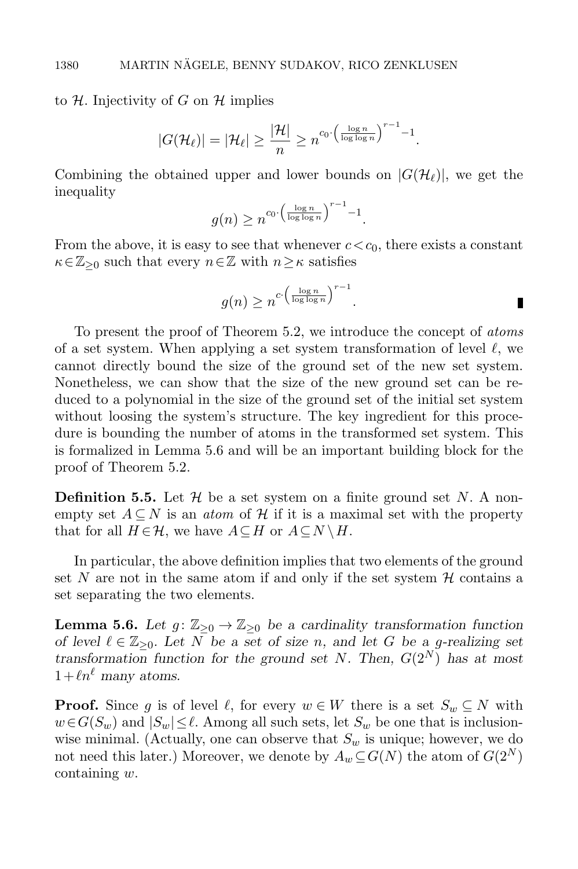#### to H. Injectivity of G on H implies

$$
|G(\mathcal{H}_{\ell})| = |\mathcal{H}_{\ell}| \geq \frac{|\mathcal{H}|}{n} \geq n^{c_0 \cdot \left(\frac{\log n}{\log \log n}\right)^{r-1} - 1}.
$$

Combining the obtained upper and lower bounds on  $|G(\mathcal{H}_{\ell})|$ , we get the inequality

$$
g(n) \ge n^{c_0 \cdot \left(\frac{\log n}{\log \log n}\right)^{r-1} - 1}.
$$

From the above, it is easy to see that whenever  $c < c_0$ , there exists a constant  $\kappa \in \mathbb{Z}_{\geq 0}$  such that every  $n \in \mathbb{Z}$  with  $n \geq \kappa$  satisfies

$$
g(n) \ge n^{c \cdot \left(\frac{\log n}{\log \log n}\right)^{r-1}}.
$$

To present the proof of Theorem [5.2,](#page-27-0) we introduce the concept of atoms of a set system. When applying a set system transformation of level  $\ell$ , we cannot directly bound the size of the ground set of the new set system. Nonetheless, we can show that the size of the new ground set can be reduced to a polynomial in the size of the ground set of the initial set system without loosing the system's structure. The key ingredient for this procedure is bounding the number of atoms in the transformed set system. This is formalized in Lemma [5.6](#page-29-0) and will be an important building block for the proof of Theorem [5.2.](#page-27-0)

**Definition 5.5.** Let  $\mathcal{H}$  be a set system on a finite ground set N. A nonempty set  $A \subseteq N$  is an *atom* of H if it is a maximal set with the property that for all  $H \in \mathcal{H}$ , we have  $A \subseteq H$  or  $A \subseteq N \setminus H$ .

In particular, the above definition implies that two elements of the ground set N are not in the same atom if and only if the set system  $H$  contains a set separating the two elements.

<span id="page-29-0"></span>**Lemma 5.6.** Let  $g: \mathbb{Z}_{\geq 0} \to \mathbb{Z}_{\geq 0}$  be a cardinality transformation function of level  $\ell \in \mathbb{Z}_{\geq 0}$ . Let N be a set of size n, and let G be a g-realizing set transformation function for the ground set N. Then,  $G(2^N)$  has at most  $1+\ell n^{\ell}$  many atoms.

**Proof.** Since g is of level  $\ell$ , for every  $w \in W$  there is a set  $S_w \subseteq N$  with  $w\in G(S_w)$  and  $|S_w|\leq \ell$ . Among all such sets, let  $S_w$  be one that is inclusionwise minimal. (Actually, one can observe that  $S_w$  is unique; however, we do not need this later.) Moreover, we denote by  $A_w \subseteq G(N)$  the atom of  $G(2^N)$ containing w.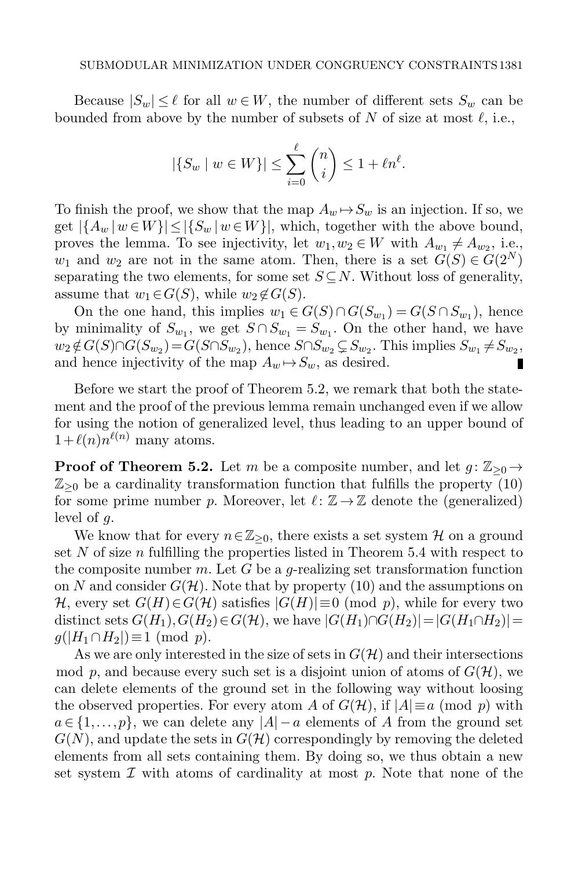Because  $|S_w| \leq \ell$  for all  $w \in W$ , the number of different sets  $S_w$  can be bounded from above by the number of subsets of N of size at most  $\ell$ , i.e.,

$$
|\{S_w \mid w \in W\}| \le \sum_{i=0}^{\ell} \binom{n}{i} \le 1 + \ell n^{\ell}.
$$

To finish the proof, we show that the map  $A_w \rightarrow S_w$  is an injection. If so, we get  $|\{A_w | w \in W\}| \leq |\{S_w | w \in W\}|$ , which, together with the above bound, proves the lemma. To see injectivity, let  $w_1, w_2 \in W$  with  $A_{w_1} \neq A_{w_2}$ , i.e.,  $w_1$  and  $w_2$  are not in the same atom. Then, there is a set  $G(S) \in G(2^N)$ separating the two elements, for some set  $S \subseteq N$ . Without loss of generality, assume that  $w_1 \in G(S)$ , while  $w_2 \notin G(S)$ .

On the one hand, this implies  $w_1 \in G(S) \cap G(S_{w_1}) = G(S \cap S_{w_1})$ , hence by minimality of  $S_{w_1}$ , we get  $S \cap S_{w_1} = S_{w_1}$ . On the other hand, we have  $w_2 \notin G(S) \cap G(S_{w_2}) = G(S \cap S_{w_2})$ , hence  $S \cap S_{w_2} \subsetneq S_{w_2}$ . This implies  $S_{w_1} \neq S_{w_2}$ , and hence injectivity of the map  $A_w \rightarrow S_w$ , as desired.

Before we start the proof of Theorem [5.2,](#page-27-0) we remark that both the statement and the proof of the previous lemma remain unchanged even if we allow for using the notion of generalized level, thus leading to an upper bound of  $1+\ell(n)n^{\ell(n)}$  many atoms.

**Proof of Theorem [5.2.](#page-27-0)** Let m be a composite number, and let  $g: \mathbb{Z}_{\geq 0} \rightarrow$  $\mathbb{Z}_{\geq 0}$  be a cardinality transformation function that fulfills the property [\(10\)](#page-26-1) for some prime number p. Moreover, let  $\ell : \mathbb{Z} \to \mathbb{Z}$  denote the (generalized) level of g.

We know that for every  $n \in \mathbb{Z}_{\geq 0}$ , there exists a set system H on a ground set N of size  $n$  fulfilling the properties listed in Theorem [5.4](#page-27-1) with respect to the composite number m. Let G be a g-realizing set transformation function on N and consider  $G(\mathcal{H})$ . Note that by property [\(10\)](#page-26-1) and the assumptions on H, every set  $G(H) \in G(H)$  satisfies  $|G(H)| \equiv 0 \pmod{p}$ , while for every two distinct sets  $G(H_1), G(H_2) \in G(H)$ , we have  $|G(H_1) \cap G(H_2)| = |G(H_1 \cap H_2)| =$  $g(|H_1 \cap H_2|) \equiv 1 \pmod{p}$ .

As we are only interested in the size of sets in  $G(\mathcal{H})$  and their intersections mod p, and because every such set is a disjoint union of atoms of  $G(\mathcal{H})$ , we can delete elements of the ground set in the following way without loosing the observed properties. For every atom A of  $G(\mathcal{H})$ , if  $|A| \equiv a \pmod{p}$  with  $a \in \{1, \ldots, p\}$ , we can delete any  $|A| - a$  elements of A from the ground set  $G(N)$ , and update the sets in  $G(\mathcal{H})$  correspondingly by removing the deleted elements from all sets containing them. By doing so, we thus obtain a new set system  $\mathcal I$  with atoms of cardinality at most  $p$ . Note that none of the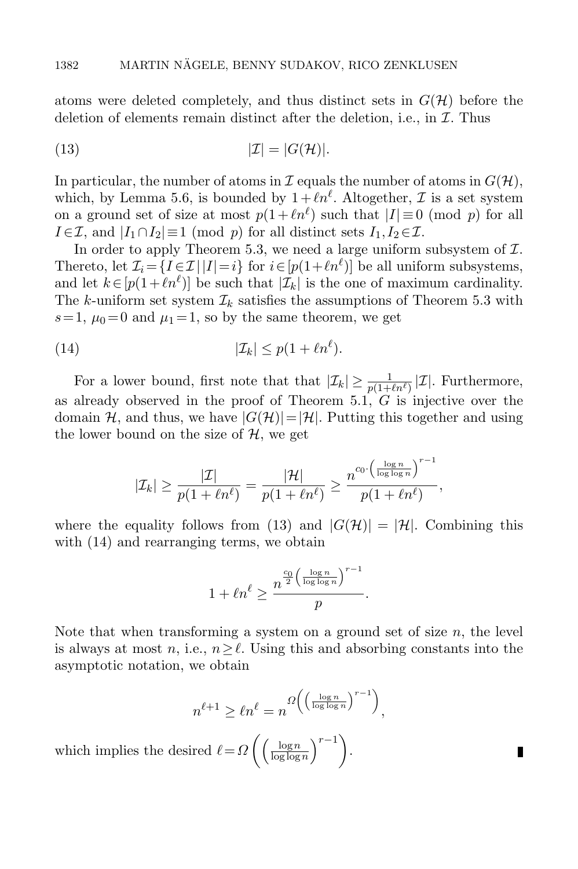atoms were deleted completely, and thus distinct sets in  $G(\mathcal{H})$  before the deletion of elements remain distinct after the deletion, i.e., in  $\mathcal I$ . Thus

<span id="page-31-0"></span>(13) 
$$
|\mathcal{I}| = |G(\mathcal{H})|.
$$

In particular, the number of atoms in  $\mathcal I$  equals the number of atoms in  $G(\mathcal H)$ , which, by Lemma [5.6,](#page-29-0) is bounded by  $1 + \ell n^{\ell}$ . Altogether,  $\mathcal I$  is a set system on a ground set of size at most  $p(1 + \ell n^{\ell})$  such that  $|I| \equiv 0 \pmod{p}$  for all  $I \in \mathcal{I}$ , and  $|I_1 \cap I_2| \equiv 1 \pmod{p}$  for all distinct sets  $I_1, I_2 \in \mathcal{I}$ .

In order to apply Theorem [5.3,](#page-27-2) we need a large uniform subsystem of  $I$ . Thereto, let  $\mathcal{I}_i = \{I \in \mathcal{I} | |I| = i\}$  for  $i \in [p(1 + \ell n^{\ell})]$  be all uniform subsystems, and let  $k \in [p(1+\ell n^{\ell})]$  be such that  $|\mathcal{I}_k|$  is the one of maximum cardinality. The k-uniform set system  $\mathcal{I}_k$  satisfies the assumptions of Theorem [5.3](#page-27-2) with  $s=1, \mu_0=0$  and  $\mu_1=1$ , so by the same theorem, we get

$$
(14) \t\t | \mathcal{I}_k | \leq p(1 + \ell n^{\ell}).
$$

For a lower bound, first note that that  $|\mathcal{I}_k| \geq \frac{1}{p(1+\ell n^{\ell})} |\mathcal{I}|$ . Furthermore, as already observed in the proof of Theorem [5.1,](#page-26-2)  $G$  is injective over the domain H, and thus, we have  $|G(\mathcal{H})|=|\mathcal{H}|$ . Putting this together and using the lower bound on the size of  $H$ , we get

<span id="page-31-1"></span>
$$
|\mathcal{I}_k| \geq \frac{|\mathcal{I}|}{p(1 + \ell n^{\ell})} = \frac{|\mathcal{H}|}{p(1 + \ell n^{\ell})} \geq \frac{n^{c_0 \cdot \left(\frac{\log n}{\log \log n}\right)^{r-1}}}{p(1 + \ell n^{\ell})},
$$

where the equality follows from [\(13\)](#page-31-0) and  $|G(\mathcal{H})| = |\mathcal{H}|$ . Combining this with  $(14)$  and rearranging terms, we obtain

$$
1 + \ell n^{\ell} \ge \frac{n^{\frac{c_0}{2} \left( \frac{\log n}{\log \log n} \right)^{r-1}}}{p}.
$$

Note that when transforming a system on a ground set of size  $n$ , the level is always at most n, i.e.,  $n \geq \ell$ . Using this and absorbing constants into the asymptotic notation, we obtain

$$
n^{\ell+1} \ge \ell n^{\ell} = n^{\Omega\left(\left(\frac{\log n}{\log \log n}\right)^{r-1}\right)},
$$

П

which implies the desired  $\ell = \Omega \left( \frac{\log n}{\log \log n} \right)$  $\frac{\log n}{\log \log n}$  $r-1$ .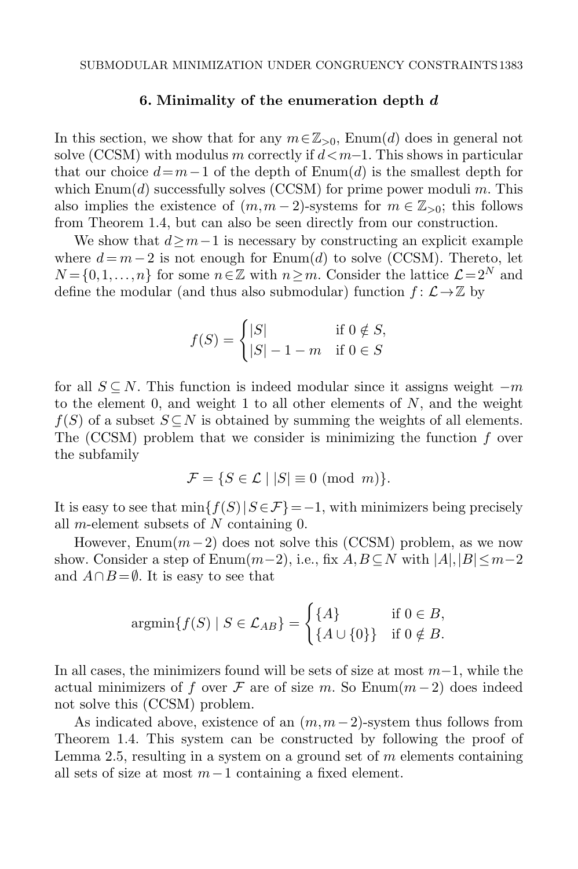#### 6. Minimality of the enumeration depth  $d$

<span id="page-32-0"></span>In this section, we show that for any  $m \in \mathbb{Z}_{>0}$ , [Enum\(](#page-6-0)d) does in general not solve [\(CCSM\)](#page-2-0) with modulus m correctly if  $d < m-1$ . This shows in particular that our choice  $d=m-1$  of the depth of [Enum\(](#page-6-0)d) is the smallest depth for which  $\text{Enum}(d)$  successfully solves [\(CCSM\)](#page-2-0) for prime power moduli m. This also implies the existence of  $(m,m-2)$ -systems for  $m \in \mathbb{Z}_{>0}$ ; this follows from Theorem [1.4,](#page-7-0) but can also be seen directly from our construction.

We show that  $d \geq m-1$  is necessary by constructing an explicit example where  $d = m-2$  is not enough for [Enum\(](#page-6-0)d) to solve [\(CCSM\)](#page-2-0). Thereto, let  $N = \{0,1,\ldots,n\}$  for some  $n \in \mathbb{Z}$  with  $n \geq m$ . Consider the lattice  $\mathcal{L} = 2^N$  and define the modular (and thus also submodular) function  $f: \mathcal{L} \rightarrow \mathbb{Z}$  by

$$
f(S) = \begin{cases} |S| & \text{if } 0 \notin S, \\ |S| - 1 - m & \text{if } 0 \in S \end{cases}
$$

for all  $S \subseteq N$ . This function is indeed modular since it assigns weight  $-m$ to the element 0, and weight 1 to all other elements of  $N$ , and the weight  $f(S)$  of a subset  $S \subseteq N$  is obtained by summing the weights of all elements. The  $(CCSM)$  problem that we consider is minimizing the function f over the subfamily

$$
\mathcal{F} = \{ S \in \mathcal{L} \mid |S| \equiv 0 \pmod{m} \}.
$$

It is easy to see that  $\min\{f(S)|S \in \mathcal{F}\} = -1$ , with minimizers being precisely all *m*-element subsets of  $N$  containing 0.

However, Enum $(m-2)$  does not solve this [\(CCSM\)](#page-2-0) problem, as we now show. Consider a step of Enum $(m-2)$ , i.e., fix  $A, B \subseteq N$  with  $|A|, |B| \leq m-2$ and  $A \cap B = \emptyset$ . It is easy to see that

$$
\operatorname{argmin}\{f(S) \mid S \in \mathcal{L}_{AB}\} = \begin{cases} \{A\} & \text{if } 0 \in B, \\ \{A \cup \{0\}\} & \text{if } 0 \notin B. \end{cases}
$$

In all cases, the minimizers found will be sets of size at most  $m-1$ , while the actual minimizers of f over F are of size m. So Enum $(m-2)$  does indeed not solve this [\(CCSM\)](#page-2-0) problem.

As indicated above, existence of an  $(m, m-2)$ -system thus follows from Theorem [1.4.](#page-7-0) This system can be constructed by following the proof of Lemma [2.5,](#page-9-1) resulting in a system on a ground set of  $m$  elements containing all sets of size at most  $m-1$  containing a fixed element.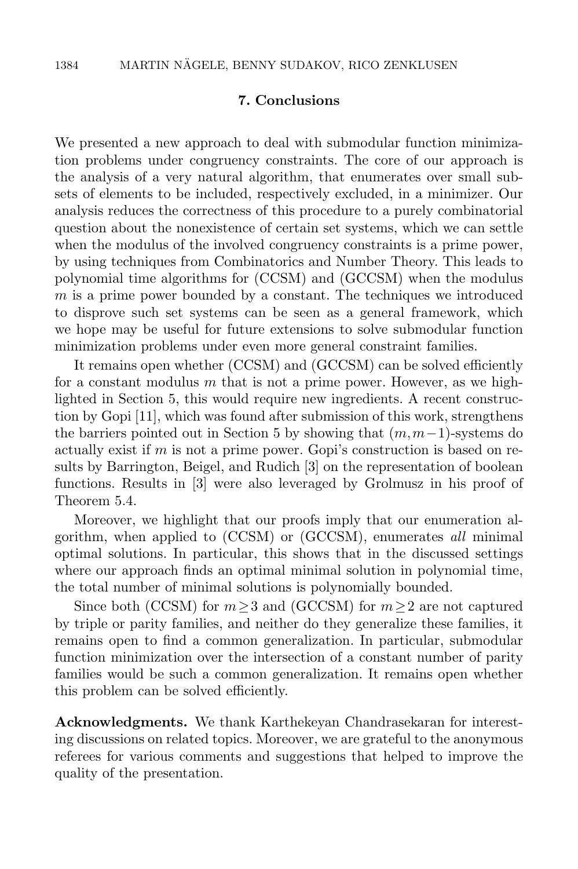## 7. Conclusions

We presented a new approach to deal with submodular function minimization problems under congruency constraints. The core of our approach is the analysis of a very natural algorithm, that enumerates over small subsets of elements to be included, respectively excluded, in a minimizer. Our analysis reduces the correctness of this procedure to a purely combinatorial question about the nonexistence of certain set systems, which we can settle when the modulus of the involved congruency constraints is a prime power, by using techniques from Combinatorics and Number Theory. This leads to polynomial time algorithms for [\(CCSM\)](#page-2-0) and [\(GCCSM\)](#page-4-0) when the modulus  $m$  is a prime power bounded by a constant. The techniques we introduced to disprove such set systems can be seen as a general framework, which we hope may be useful for future extensions to solve submodular function minimization problems under even more general constraint families.

It remains open whether [\(CCSM\)](#page-2-0) and [\(GCCSM\)](#page-4-0) can be solved efficiently for a constant modulus  $m$  that is not a prime power. However, as we highlighted in Section [5,](#page-26-0) this would require new ingredients. A recent construction by Gopi [\[11\]](#page-34-15), which was found after submission of this work, strengthens the barriers pointed out in Section [5](#page-26-0) by showing that  $(m, m-1)$ -systems do actually exist if  $m$  is not a prime power. Gopi's construction is based on results by Barrington, Beigel, and Rudich [\[3\]](#page-34-18) on the representation of boolean functions. Results in [\[3\]](#page-34-18) were also leveraged by Grolmusz in his proof of Theorem [5.4.](#page-27-1)

Moreover, we highlight that our proofs imply that our enumeration algorithm, when applied to [\(CCSM\)](#page-2-0) or [\(GCCSM\)](#page-4-0), enumerates all minimal optimal solutions. In particular, this shows that in the discussed settings where our approach finds an optimal minimal solution in polynomial time, the total number of minimal solutions is polynomially bounded.

Since both [\(CCSM\)](#page-2-0) for  $m \geq 3$  and [\(GCCSM\)](#page-4-0) for  $m \geq 2$  are not captured by triple or parity families, and neither do they generalize these families, it remains open to find a common generalization. In particular, submodular function minimization over the intersection of a constant number of parity families would be such a common generalization. It remains open whether this problem can be solved efficiently.

Acknowledgments. We thank Karthekeyan Chandrasekaran for interesting discussions on related topics. Moreover, we are grateful to the anonymous referees for various comments and suggestions that helped to improve the quality of the presentation.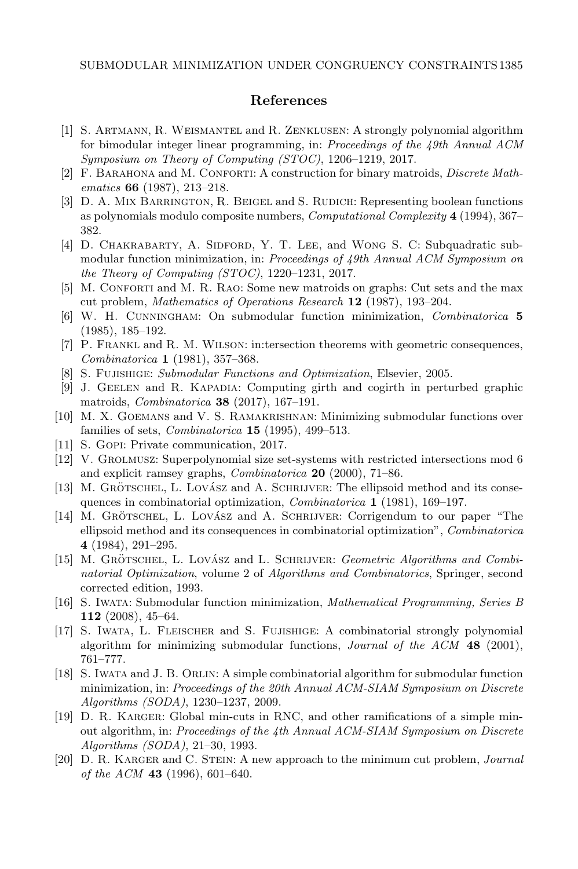#### References

- <span id="page-34-3"></span>[1] S. Artmann, R. Weismantel and R. Zenklusen: A strongly polynomial algorithm for bimodular integer linear programming, in: Proceedings of the 49th Annual ACM Symposium on Theory of Computing (STOC), 1206–1219, 2017.
- <span id="page-34-10"></span>[2] F. Barahona and M. Conforti: A construction for binary matroids, Discrete Mathematics 66 (1987), 213–218.
- <span id="page-34-18"></span>[3] D. A. MIX BARRINGTON, R. BEIGEL and S. RUDICH: Representing boolean functions as polynomials modulo composite numbers, Computational Complexity 4 (1994), 367– 382.
- <span id="page-34-2"></span>[4] D. CHAKRABARTY, A. SIDFORD, Y. T. LEE, and WONG S. C: Subquadratic submodular function minimization, in: Proceedings of 49th Annual ACM Symposium on the Theory of Computing (STOC), 1220–1231, 2017.
- <span id="page-34-14"></span>[5] M. Conforti and M. R. Rao: Some new matroids on graphs: Cut sets and the max cut problem, Mathematics of Operations Research 12 (1987), 193–204.
- <span id="page-34-5"></span>[6] W. H. Cunningham: On submodular function minimization, Combinatorica 5 (1985), 185–192.
- <span id="page-34-16"></span>[7] P. Frankl and R. M. Wilson: in:tersection theorems with geometric consequences, Combinatorica 1 (1981), 357–368.
- [8] S. FUJISHIGE: Submodular Functions and Optimization, Elsevier, 2005.
- <span id="page-34-0"></span>[9] J. Geelen and R. Kapadia: Computing girth and cogirth in perturbed graphic matroids, Combinatorica 38 (2017), 167–191.
- <span id="page-34-11"></span>[10] M. X. Goemans and V. S. Ramakrishnan: Minimizing submodular functions over families of sets, *Combinatorica* **15** (1995), 499–513.
- <span id="page-34-15"></span>[11] S. Gopi: Private communication, 2017.
- <span id="page-34-17"></span>[12] V. Grolmusz: Superpolynomial size set-systems with restricted intersections mod 6 and explicit ramsey graphs, Combinatorica 20 (2000), 71–86.
- <span id="page-34-4"></span>[13] M. GRÖTSCHEL, L. LOVÁSZ and A. SCHRIJVER: The ellipsoid method and its consequences in combinatorial optimization, Combinatorica 1 (1981), 169–197.
- <span id="page-34-8"></span>[14] M. GRÖTSCHEL, L. LOVÁSZ and A. SCHRIJVER: Corrigendum to our paper "The ellipsoid method and its consequences in combinatorial optimization", Combinatorica 4 (1984), 291–295.
- <span id="page-34-9"></span>[15] M. GRÖTSCHEL, L. LOVÁSZ and L. SCHRIJVER: Geometric Algorithms and Combinatorial Optimization, volume 2 of Algorithms and Combinatorics, Springer, second corrected edition, 1993.
- <span id="page-34-1"></span>[16] S. Iwata: Submodular function minimization, Mathematical Programming, Series B 112 (2008), 45–64.
- <span id="page-34-6"></span>[17] S. Iwata, L. Fleischer and S. Fujishige: A combinatorial strongly polynomial algorithm for minimizing submodular functions, *Journal of the ACM* 48 (2001), 761–777.
- <span id="page-34-7"></span>[18] S. Iwata and J. B. Orlin: A simple combinatorial algorithm for submodular function minimization, in: Proceedings of the 20th Annual ACM-SIAM Symposium on Discrete Algorithms (SODA), 1230–1237, 2009.
- <span id="page-34-12"></span>[19] D. R. Karger: Global min-cuts in RNC, and other ramifications of a simple minout algorithm, in: Proceedings of the 4th Annual ACM-SIAM Symposium on Discrete Algorithms (SODA), 21–30, 1993.
- <span id="page-34-13"></span>[20] D. R. Karger and C. Stein: A new approach to the minimum cut problem, Journal of the ACM 43 (1996), 601–640.